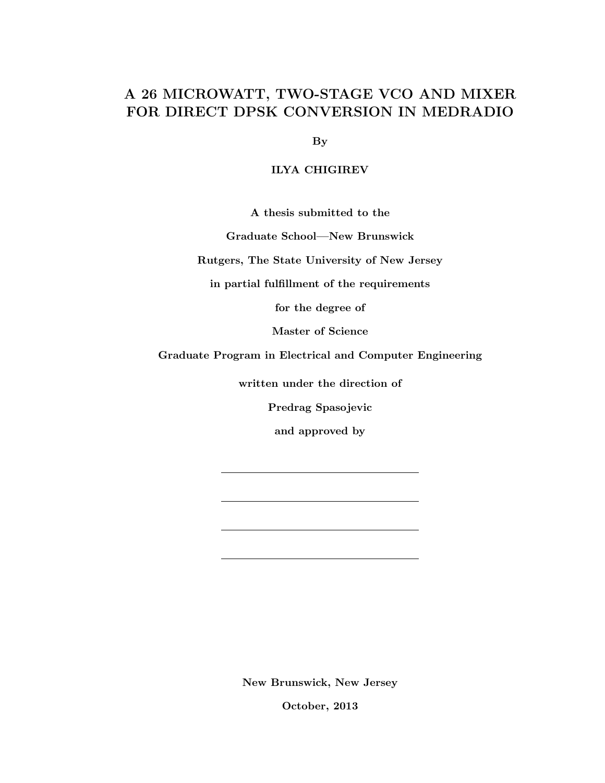# A 26 MICROWATT, TWO-STAGE VCO AND MIXER FOR DIRECT DPSK CONVERSION IN MEDRADIO

By

#### ILYA CHIGIREV

A thesis submitted to the

Graduate School—New Brunswick

Rutgers, The State University of New Jersey

in partial fulfillment of the requirements

for the degree of

Master of Science

Graduate Program in Electrical and Computer Engineering

written under the direction of

Predrag Spasojevic

and approved by

New Brunswick, New Jersey

October, 2013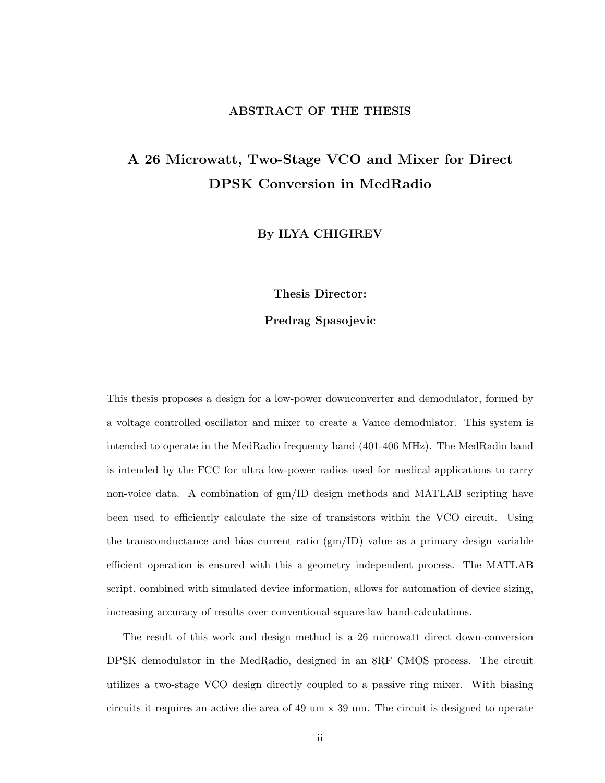#### ABSTRACT OF THE THESIS

# A 26 Microwatt, Two-Stage VCO and Mixer for Direct DPSK Conversion in MedRadio

By ILYA CHIGIREV

Thesis Director:

#### Predrag Spasojevic

This thesis proposes a design for a low-power downconverter and demodulator, formed by a voltage controlled oscillator and mixer to create a Vance demodulator. This system is intended to operate in the MedRadio frequency band (401-406 MHz). The MedRadio band is intended by the FCC for ultra low-power radios used for medical applications to carry non-voice data. A combination of gm/ID design methods and MATLAB scripting have been used to efficiently calculate the size of transistors within the VCO circuit. Using the transconductance and bias current ratio (gm/ID) value as a primary design variable efficient operation is ensured with this a geometry independent process. The MATLAB script, combined with simulated device information, allows for automation of device sizing, increasing accuracy of results over conventional square-law hand-calculations.

The result of this work and design method is a 26 microwatt direct down-conversion DPSK demodulator in the MedRadio, designed in an 8RF CMOS process. The circuit utilizes a two-stage VCO design directly coupled to a passive ring mixer. With biasing circuits it requires an active die area of 49 um x 39 um. The circuit is designed to operate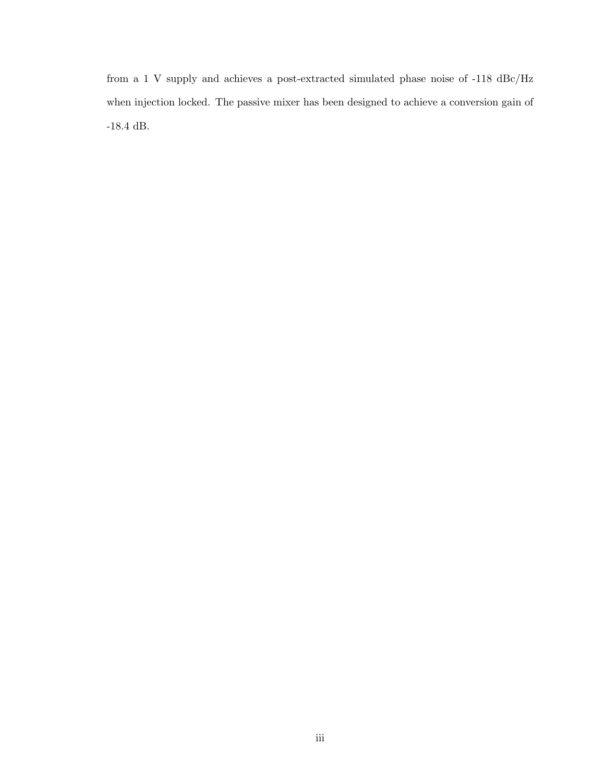from a 1 V supply and achieves a post-extracted simulated phase noise of -118 dBc/Hz when injection locked. The passive mixer has been designed to achieve a conversion gain of  $\mbox{-}18.4$  dB.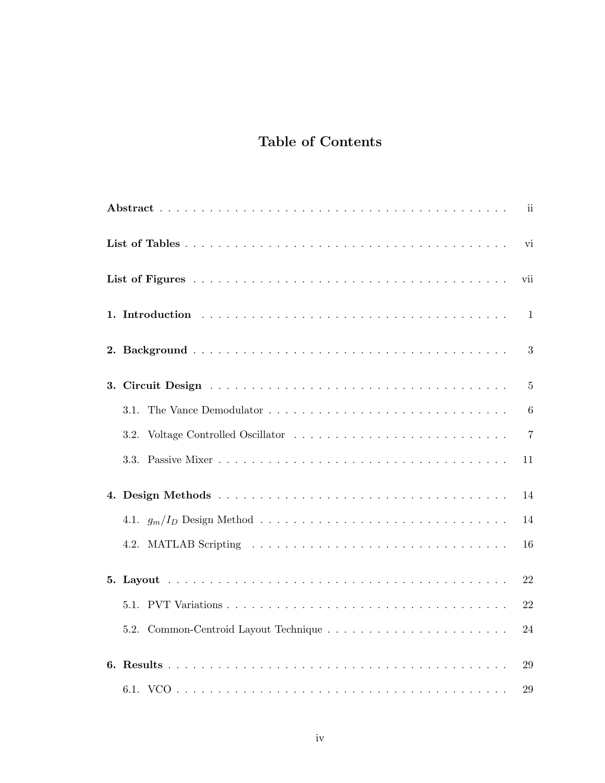# Table of Contents

|    |      | ii              |
|----|------|-----------------|
|    |      | vi              |
|    |      | vii             |
|    |      | 1               |
|    |      | 3               |
|    |      | $\overline{5}$  |
|    | 3.1. | $6\phantom{.}6$ |
|    | 3.2. | $\overline{7}$  |
|    |      | 11              |
| 4. |      | 14              |
|    |      | 14              |
|    | 4.2. | 16              |
|    |      | 22              |
|    |      | 22              |
|    |      | 24              |
|    |      | 29              |
|    |      | 29              |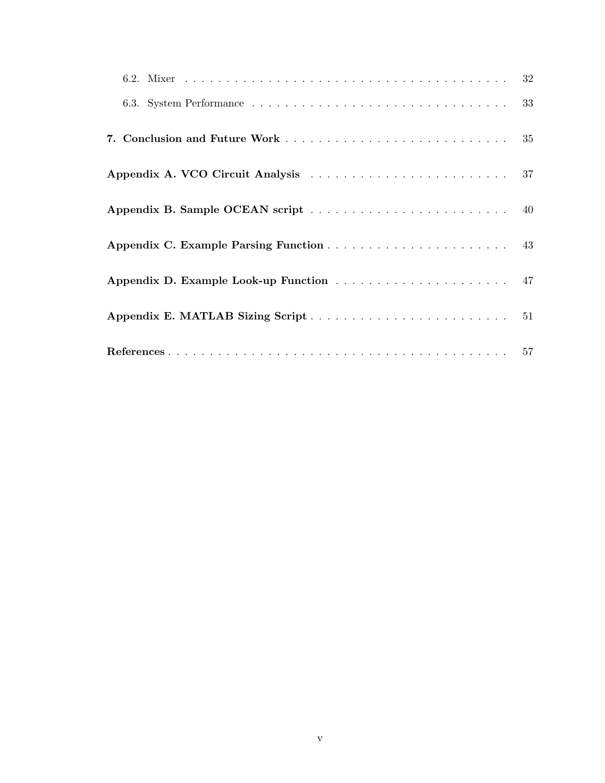| 6.3. System Performance $\ldots \ldots \ldots \ldots \ldots \ldots \ldots \ldots \ldots \ldots \ldots \ldots$ 33 |  |
|------------------------------------------------------------------------------------------------------------------|--|
|                                                                                                                  |  |
|                                                                                                                  |  |
|                                                                                                                  |  |
|                                                                                                                  |  |
|                                                                                                                  |  |
|                                                                                                                  |  |
|                                                                                                                  |  |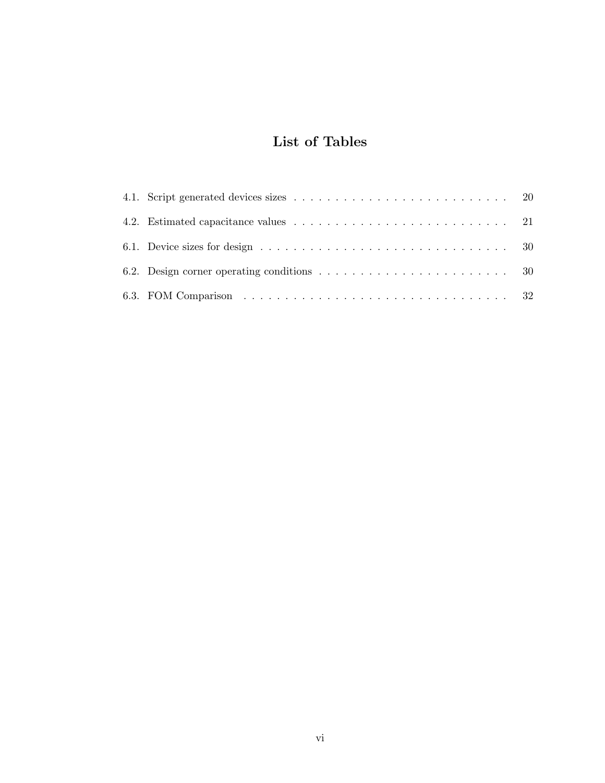# List of Tables

| 6.1. Device sizes for design $\dots \dots \dots \dots \dots \dots \dots \dots \dots \dots \dots \dots \dots$ |  |
|--------------------------------------------------------------------------------------------------------------|--|
|                                                                                                              |  |
|                                                                                                              |  |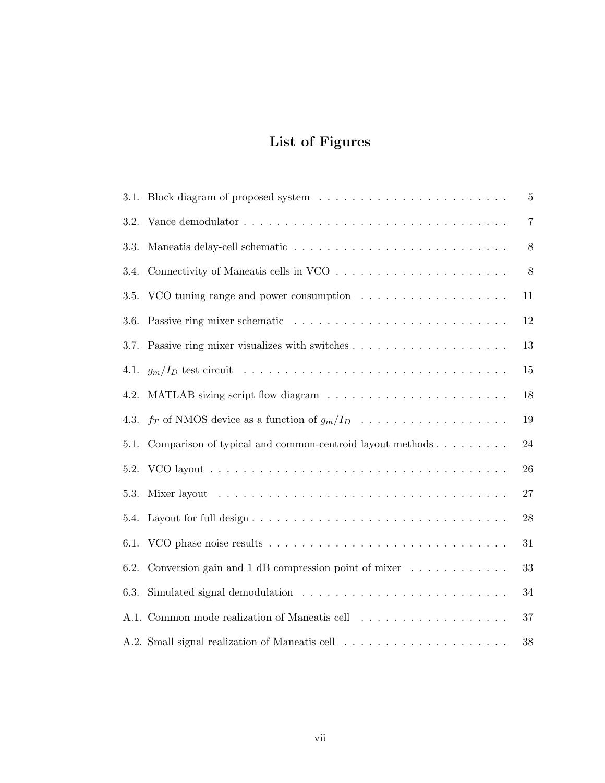# List of Figures

| 3.1. | Block diagram of proposed system $\ldots \ldots \ldots \ldots \ldots \ldots \ldots \ldots$        | $\overline{5}$ |
|------|---------------------------------------------------------------------------------------------------|----------------|
| 3.2. |                                                                                                   | 7              |
| 3.3. | Maneatis delay-cell schematic $\dots \dots \dots \dots \dots \dots \dots \dots \dots \dots \dots$ | 8              |
| 3.4. |                                                                                                   | 8              |
| 3.5. |                                                                                                   | 11             |
| 3.6. |                                                                                                   | 12             |
| 3.7. |                                                                                                   | 13             |
| 4.1. |                                                                                                   | 15             |
| 4.2. |                                                                                                   | 18             |
| 4.3. | $f_T$ of NMOS device as a function of $g_m/I_D$                                                   | 19             |
| 5.1. | Comparison of typical and common-centroid layout methods                                          | 24             |
| 5.2. |                                                                                                   | 26             |
| 5.3. |                                                                                                   | 27             |
| 5.4. |                                                                                                   | 28             |
| 6.1. |                                                                                                   | 31             |
| 6.2. | Conversion gain and $1$ dB compression point of mixer $\dots \dots \dots \dots$                   | 33             |
| 6.3. |                                                                                                   | 34             |
|      | A.1. Common mode realization of Maneatis cell                                                     | 37             |
|      |                                                                                                   | 38             |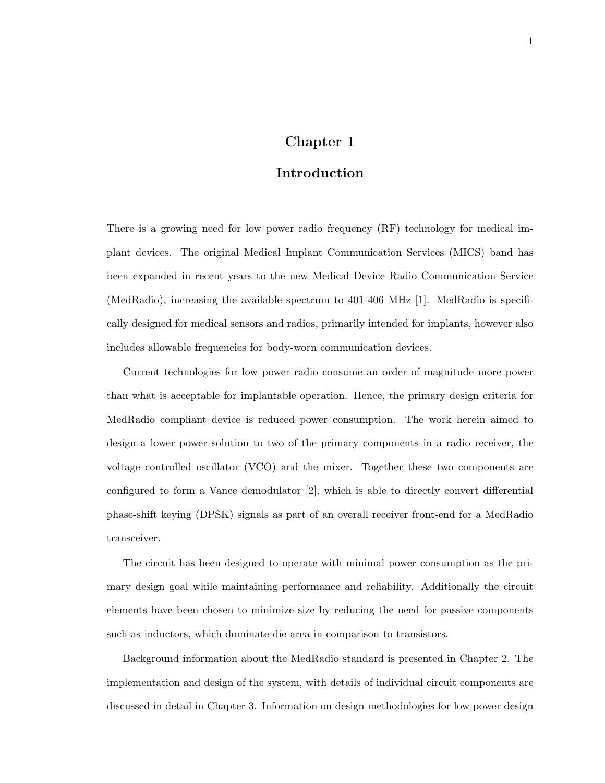## Chapter 1

## Introduction

There is a growing need for low power radio frequency (RF) technology for medical implant devices. The original Medical Implant Communication Services (MICS) band has been expanded in recent years to the new Medical Device Radio Communication Service (MedRadio), increasing the available spectrum to 401-406 MHz [1]. MedRadio is specifically designed for medical sensors and radios, primarily intended for implants, however also includes allowable frequencies for body-worn communication devices.

Current technologies for low power radio consume an order of magnitude more power than what is acceptable for implantable operation. Hence, the primary design criteria for MedRadio compliant device is reduced power consumption. The work herein aimed to design a lower power solution to two of the primary components in a radio receiver, the voltage controlled oscillator (VCO) and the mixer. Together these two components are configured to form a Vance demodulator [2], which is able to directly convert differential phase-shift keying (DPSK) signals as part of an overall receiver front-end for a MedRadio transceiver.

The circuit has been designed to operate with minimal power consumption as the primary design goal while maintaining performance and reliability. Additionally the circuit elements have been chosen to minimize size by reducing the need for passive components such as inductors, which dominate die area in comparison to transistors.

Background information about the MedRadio standard is presented in Chapter 2. The implementation and design of the system, with details of individual circuit components are discussed in detail in Chapter 3. Information on design methodologies for low power design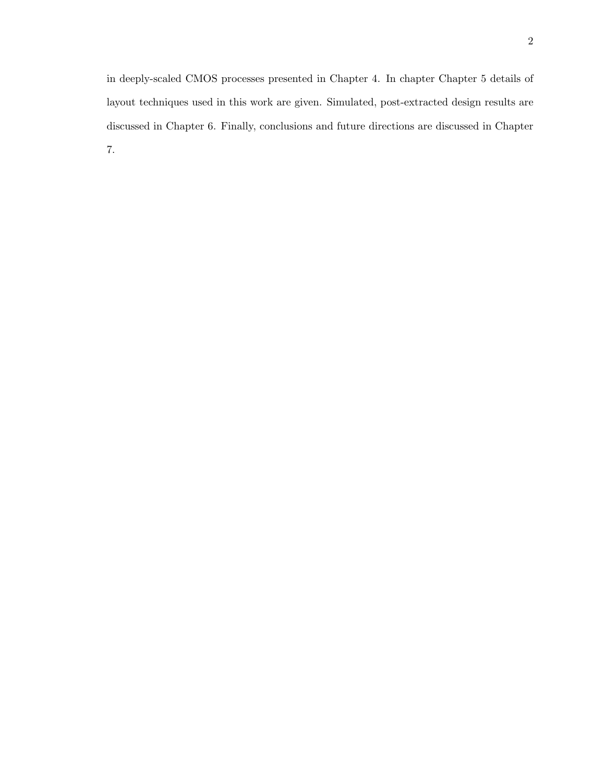in deeply-scaled CMOS processes presented in Chapter 4. In chapter Chapter 5 details of layout techniques used in this work are given. Simulated, post-extracted design results are discussed in Chapter 6. Finally, conclusions and future directions are discussed in Chapter 7.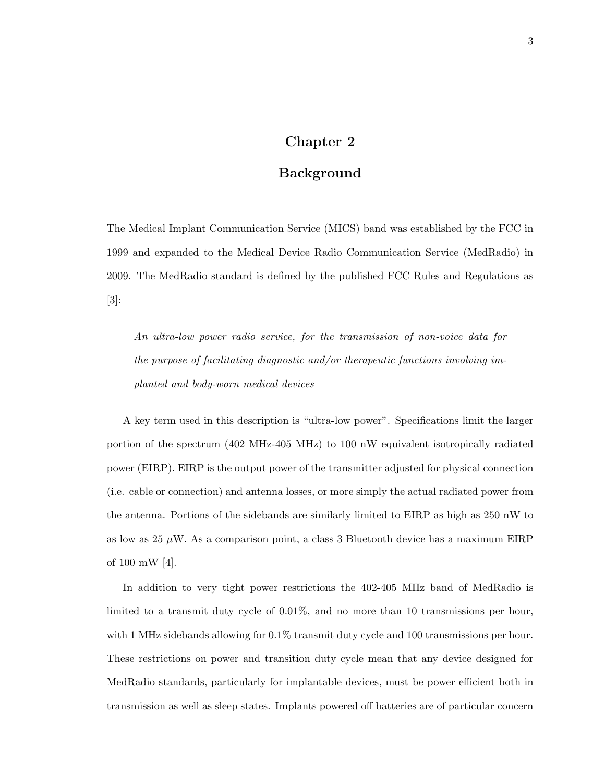## Chapter 2

## Background

The Medical Implant Communication Service (MICS) band was established by the FCC in 1999 and expanded to the Medical Device Radio Communication Service (MedRadio) in 2009. The MedRadio standard is defined by the published FCC Rules and Regulations as [3]:

An ultra-low power radio service, for the transmission of non-voice data for the purpose of facilitating diagnostic and/or therapeutic functions involving implanted and body-worn medical devices

A key term used in this description is "ultra-low power". Specifications limit the larger portion of the spectrum (402 MHz-405 MHz) to 100 nW equivalent isotropically radiated power (EIRP). EIRP is the output power of the transmitter adjusted for physical connection (i.e. cable or connection) and antenna losses, or more simply the actual radiated power from the antenna. Portions of the sidebands are similarly limited to EIRP as high as 250 nW to as low as 25  $\mu$ W. As a comparison point, a class 3 Bluetooth device has a maximum EIRP of 100 mW [4].

In addition to very tight power restrictions the 402-405 MHz band of MedRadio is limited to a transmit duty cycle of 0.01%, and no more than 10 transmissions per hour, with 1 MHz sidebands allowing for  $0.1\%$  transmit duty cycle and 100 transmissions per hour. These restrictions on power and transition duty cycle mean that any device designed for MedRadio standards, particularly for implantable devices, must be power efficient both in transmission as well as sleep states. Implants powered off batteries are of particular concern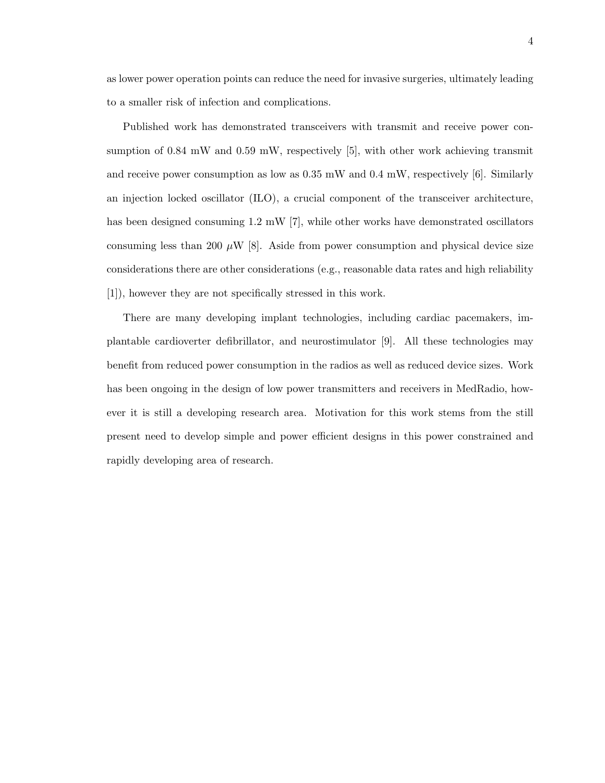as lower power operation points can reduce the need for invasive surgeries, ultimately leading to a smaller risk of infection and complications.

Published work has demonstrated transceivers with transmit and receive power consumption of 0.84 mW and 0.59 mW, respectively [5], with other work achieving transmit and receive power consumption as low as  $0.35$  mW and  $0.4$  mW, respectively [6]. Similarly an injection locked oscillator (ILO), a crucial component of the transceiver architecture, has been designed consuming 1.2 mW [7], while other works have demonstrated oscillators consuming less than 200  $\mu$ W [8]. Aside from power consumption and physical device size considerations there are other considerations (e.g., reasonable data rates and high reliability [1]), however they are not specifically stressed in this work.

There are many developing implant technologies, including cardiac pacemakers, implantable cardioverter defibrillator, and neurostimulator [9]. All these technologies may benefit from reduced power consumption in the radios as well as reduced device sizes. Work has been ongoing in the design of low power transmitters and receivers in MedRadio, however it is still a developing research area. Motivation for this work stems from the still present need to develop simple and power efficient designs in this power constrained and rapidly developing area of research.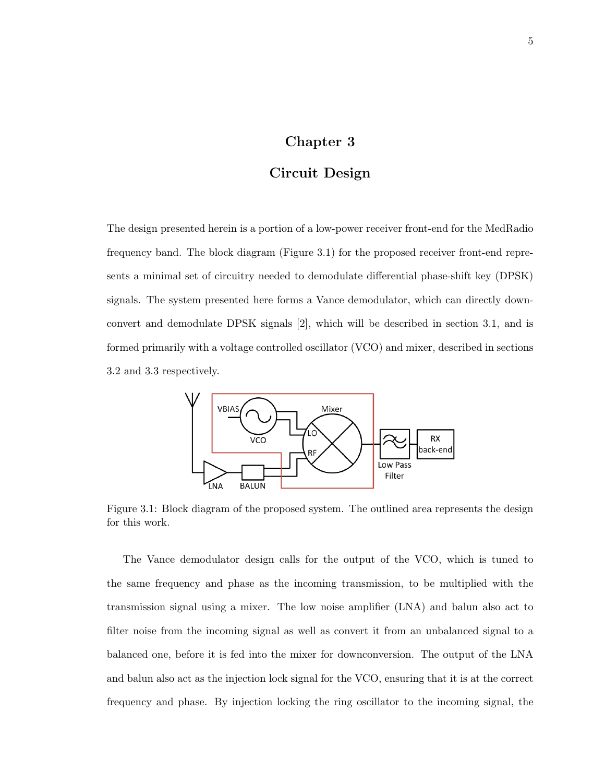## Chapter 3

## Circuit Design

The design presented herein is a portion of a low-power receiver front-end for the MedRadio frequency band. The block diagram (Figure 3.1) for the proposed receiver front-end represents a minimal set of circuitry needed to demodulate differential phase-shift key (DPSK) signals. The system presented here forms a Vance demodulator, which can directly downconvert and demodulate DPSK signals [2], which will be described in section 3.1, and is formed primarily with a voltage controlled oscillator (VCO) and mixer, described in sections 3.2 and 3.3 respectively.



Figure 3.1: Block diagram of the proposed system. The outlined area represents the design for this work.

The Vance demodulator design calls for the output of the VCO, which is tuned to the same frequency and phase as the incoming transmission, to be multiplied with the transmission signal using a mixer. The low noise amplifier (LNA) and balun also act to filter noise from the incoming signal as well as convert it from an unbalanced signal to a balanced one, before it is fed into the mixer for downconversion. The output of the LNA and balun also act as the injection lock signal for the VCO, ensuring that it is at the correct frequency and phase. By injection locking the ring oscillator to the incoming signal, the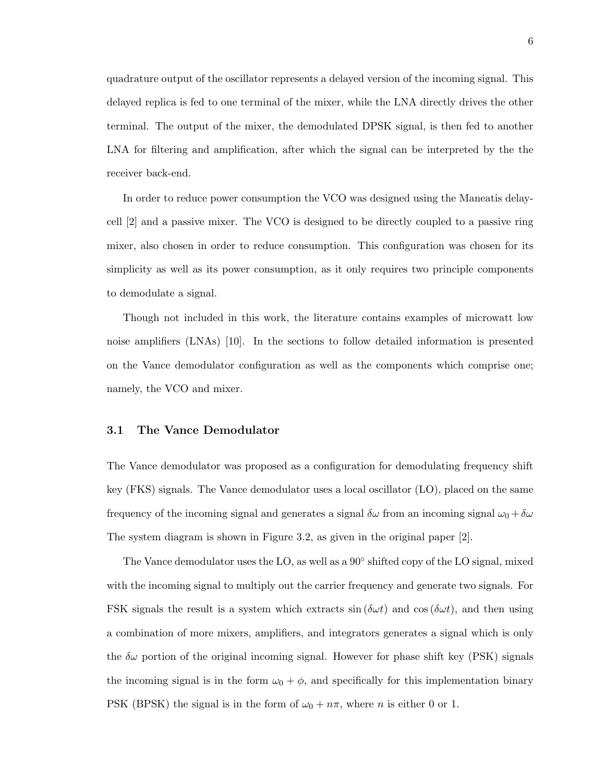quadrature output of the oscillator represents a delayed version of the incoming signal. This delayed replica is fed to one terminal of the mixer, while the LNA directly drives the other terminal. The output of the mixer, the demodulated DPSK signal, is then fed to another LNA for filtering and amplification, after which the signal can be interpreted by the the receiver back-end.

In order to reduce power consumption the VCO was designed using the Maneatis delaycell [2] and a passive mixer. The VCO is designed to be directly coupled to a passive ring mixer, also chosen in order to reduce consumption. This configuration was chosen for its simplicity as well as its power consumption, as it only requires two principle components to demodulate a signal.

Though not included in this work, the literature contains examples of microwatt low noise amplifiers (LNAs) [10]. In the sections to follow detailed information is presented on the Vance demodulator configuration as well as the components which comprise one; namely, the VCO and mixer.

#### 3.1 The Vance Demodulator

The Vance demodulator was proposed as a configuration for demodulating frequency shift key (FKS) signals. The Vance demodulator uses a local oscillator (LO), placed on the same frequency of the incoming signal and generates a signal  $\delta\omega$  from an incoming signal  $\omega_0 + \delta\omega$ The system diagram is shown in Figure 3.2, as given in the original paper [2].

The Vance demodulator uses the LO, as well as a 90 $\degree$  shifted copy of the LO signal, mixed with the incoming signal to multiply out the carrier frequency and generate two signals. For FSK signals the result is a system which extracts  $\sin(\delta \omega t)$  and  $\cos(\delta \omega t)$ , and then using a combination of more mixers, amplifiers, and integrators generates a signal which is only the  $\delta\omega$  portion of the original incoming signal. However for phase shift key (PSK) signals the incoming signal is in the form  $\omega_0 + \phi$ , and specifically for this implementation binary PSK (BPSK) the signal is in the form of  $\omega_0 + n\pi$ , where *n* is either 0 or 1.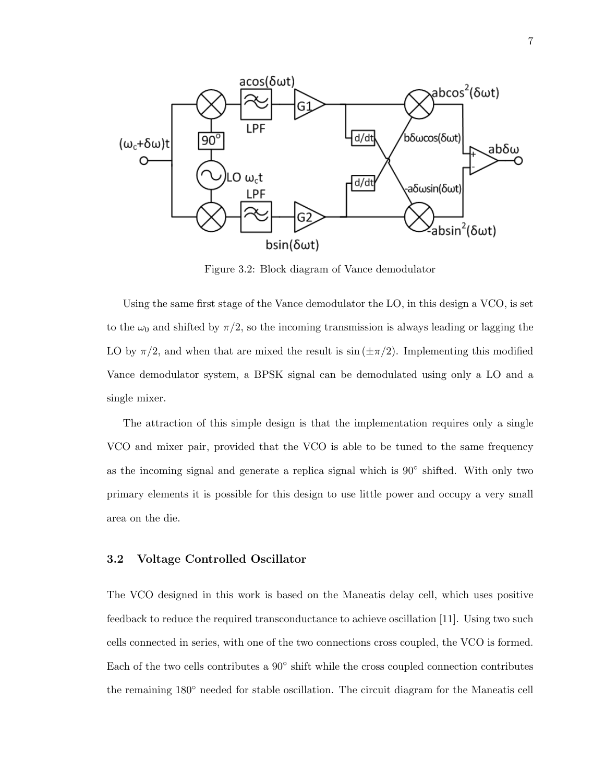

Figure 3.2: Block diagram of Vance demodulator

Using the same first stage of the Vance demodulator the LO, in this design a VCO, is set to the  $\omega_0$  and shifted by  $\pi/2$ , so the incoming transmission is always leading or lagging the LO by  $\pi/2$ , and when that are mixed the result is  $\sin(\pm \pi/2)$ . Implementing this modified Vance demodulator system, a BPSK signal can be demodulated using only a LO and a single mixer.

The attraction of this simple design is that the implementation requires only a single VCO and mixer pair, provided that the VCO is able to be tuned to the same frequency as the incoming signal and generate a replica signal which is 90° shifted. With only two primary elements it is possible for this design to use little power and occupy a very small area on the die.

#### 3.2 Voltage Controlled Oscillator

The VCO designed in this work is based on the Maneatis delay cell, which uses positive feedback to reduce the required transconductance to achieve oscillation [11]. Using two such cells connected in series, with one of the two connections cross coupled, the VCO is formed. Each of the two cells contributes a  $90^{\circ}$  shift while the cross coupled connection contributes the remaining 180◦ needed for stable oscillation. The circuit diagram for the Maneatis cell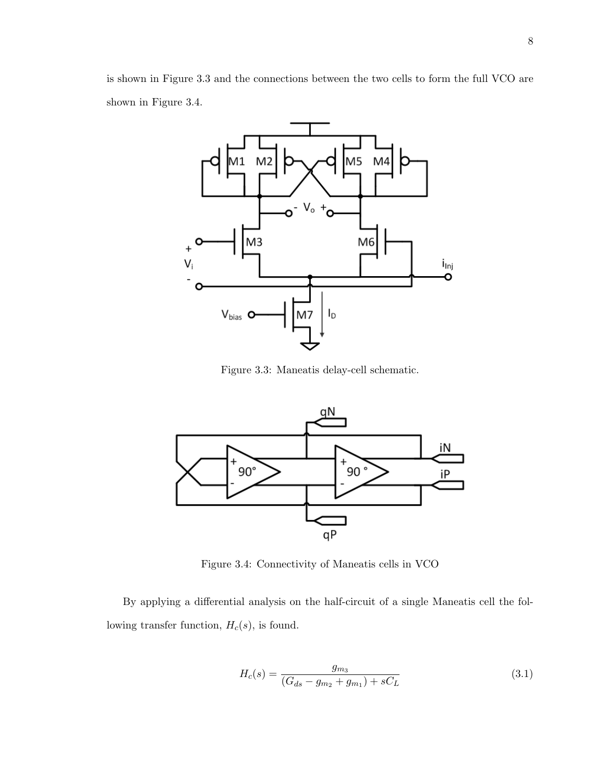is shown in Figure 3.3 and the connections between the two cells to form the full VCO are shown in Figure 3.4.



Figure 3.3: Maneatis delay-cell schematic.



Figure 3.4: Connectivity of Maneatis cells in VCO

By applying a differential analysis on the half-circuit of a single Maneatis cell the following transfer function,  $H_c(s)$ , is found.

$$
H_c(s) = \frac{g_{m_3}}{(G_{ds} - g_{m_2} + g_{m_1}) + sC_L}
$$
\n(3.1)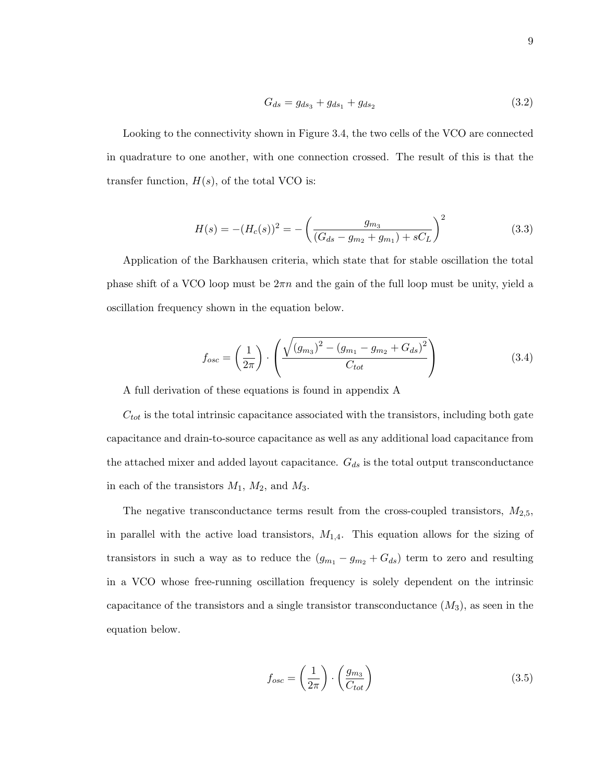$$
G_{ds} = g_{ds_3} + g_{ds_1} + g_{ds_2} \tag{3.2}
$$

Looking to the connectivity shown in Figure 3.4, the two cells of the VCO are connected in quadrature to one another, with one connection crossed. The result of this is that the transfer function,  $H(s)$ , of the total VCO is:

$$
H(s) = -(H_c(s))^2 = -\left(\frac{g_{m_3}}{(G_{ds} - g_{m_2} + g_{m_1}) + sC_L}\right)^2
$$
\n(3.3)

Application of the Barkhausen criteria, which state that for stable oscillation the total phase shift of a VCO loop must be  $2\pi n$  and the gain of the full loop must be unity, yield a oscillation frequency shown in the equation below.

$$
f_{osc} = \left(\frac{1}{2\pi}\right) \cdot \left(\frac{\sqrt{(g_{m_3})^2 - (g_{m_1} - g_{m_2} + G_{ds})^2}}{C_{tot}}\right) \tag{3.4}
$$

A full derivation of these equations is found in appendix A

 $C_{tot}$  is the total intrinsic capacitance associated with the transistors, including both gate capacitance and drain-to-source capacitance as well as any additional load capacitance from the attached mixer and added layout capacitance.  $G_{ds}$  is the total output transconductance in each of the transistors  $M_1$ ,  $M_2$ , and  $M_3$ .

The negative transconductance terms result from the cross-coupled transistors,  $M_{2,5}$ , in parallel with the active load transistors,  $M_{1,4}$ . This equation allows for the sizing of transistors in such a way as to reduce the  $(g_{m_1} - g_{m_2} + G_{ds})$  term to zero and resulting in a VCO whose free-running oscillation frequency is solely dependent on the intrinsic capacitance of the transistors and a single transistor transconductance  $(M_3)$ , as seen in the equation below.

$$
f_{osc} = \left(\frac{1}{2\pi}\right) \cdot \left(\frac{g_{m_3}}{C_{tot}}\right) \tag{3.5}
$$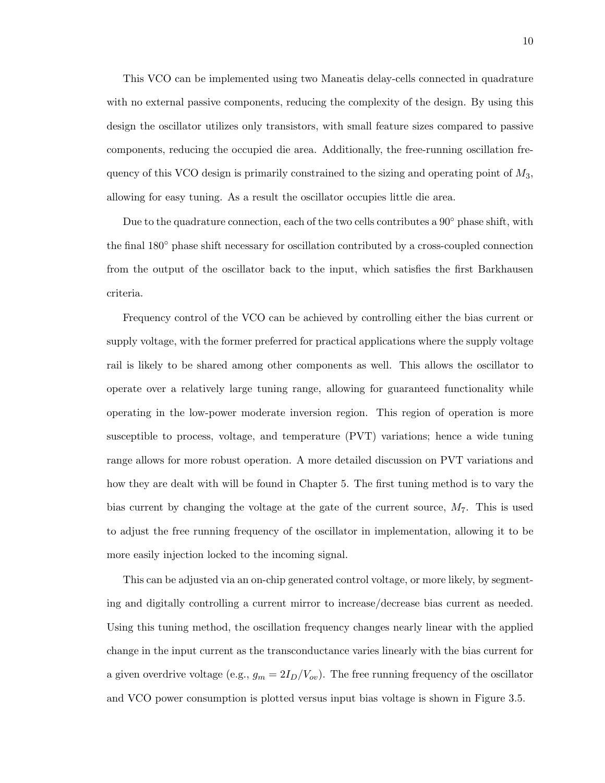This VCO can be implemented using two Maneatis delay-cells connected in quadrature with no external passive components, reducing the complexity of the design. By using this design the oscillator utilizes only transistors, with small feature sizes compared to passive components, reducing the occupied die area. Additionally, the free-running oscillation frequency of this VCO design is primarily constrained to the sizing and operating point of  $M_3$ , allowing for easy tuning. As a result the oscillator occupies little die area.

Due to the quadrature connection, each of the two cells contributes a  $90°$  phase shift, with the final 180◦ phase shift necessary for oscillation contributed by a cross-coupled connection from the output of the oscillator back to the input, which satisfies the first Barkhausen criteria.

Frequency control of the VCO can be achieved by controlling either the bias current or supply voltage, with the former preferred for practical applications where the supply voltage rail is likely to be shared among other components as well. This allows the oscillator to operate over a relatively large tuning range, allowing for guaranteed functionality while operating in the low-power moderate inversion region. This region of operation is more susceptible to process, voltage, and temperature (PVT) variations; hence a wide tuning range allows for more robust operation. A more detailed discussion on PVT variations and how they are dealt with will be found in Chapter 5. The first tuning method is to vary the bias current by changing the voltage at the gate of the current source,  $M_7$ . This is used to adjust the free running frequency of the oscillator in implementation, allowing it to be more easily injection locked to the incoming signal.

This can be adjusted via an on-chip generated control voltage, or more likely, by segmenting and digitally controlling a current mirror to increase/decrease bias current as needed. Using this tuning method, the oscillation frequency changes nearly linear with the applied change in the input current as the transconductance varies linearly with the bias current for a given overdrive voltage (e.g.,  $g_m = 2I_D/V_{ov}$ ). The free running frequency of the oscillator and VCO power consumption is plotted versus input bias voltage is shown in Figure 3.5.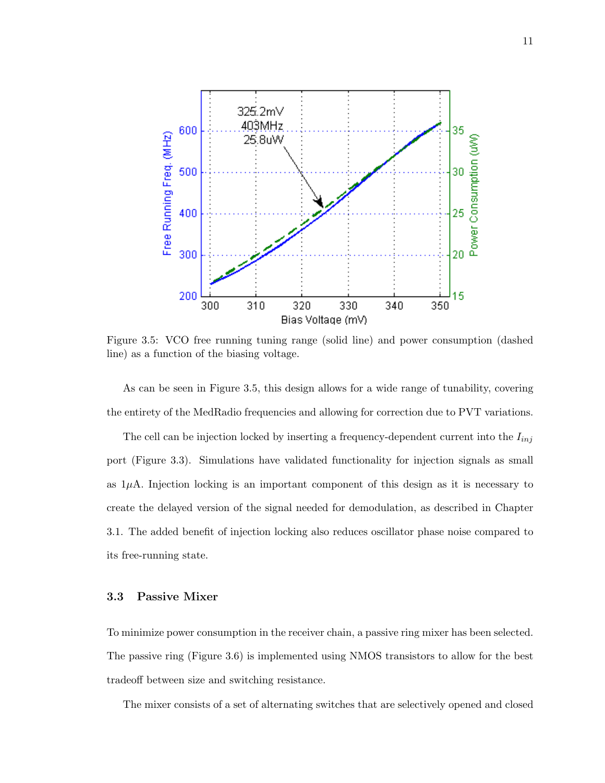

Figure 3.5: VCO free running tuning range (solid line) and power consumption (dashed line) as a function of the biasing voltage.

As can be seen in Figure 3.5, this design allows for a wide range of tunability, covering the entirety of the MedRadio frequencies and allowing for correction due to PVT variations.

The cell can be injection locked by inserting a frequency-dependent current into the  $I_{inj}$ port (Figure 3.3). Simulations have validated functionality for injection signals as small as  $1\mu$ A. Injection locking is an important component of this design as it is necessary to create the delayed version of the signal needed for demodulation, as described in Chapter 3.1. The added benefit of injection locking also reduces oscillator phase noise compared to its free-running state.

#### 3.3 Passive Mixer

To minimize power consumption in the receiver chain, a passive ring mixer has been selected. The passive ring (Figure 3.6) is implemented using NMOS transistors to allow for the best tradeoff between size and switching resistance.

The mixer consists of a set of alternating switches that are selectively opened and closed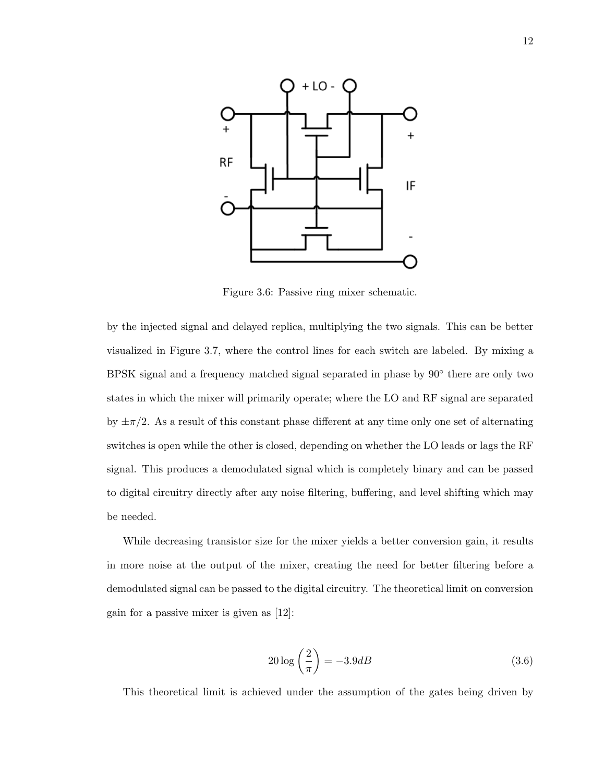

Figure 3.6: Passive ring mixer schematic.

by the injected signal and delayed replica, multiplying the two signals. This can be better visualized in Figure 3.7, where the control lines for each switch are labeled. By mixing a BPSK signal and a frequency matched signal separated in phase by  $90^{\circ}$  there are only two states in which the mixer will primarily operate; where the LO and RF signal are separated by  $\pm \pi/2$ . As a result of this constant phase different at any time only one set of alternating switches is open while the other is closed, depending on whether the LO leads or lags the RF signal. This produces a demodulated signal which is completely binary and can be passed to digital circuitry directly after any noise filtering, buffering, and level shifting which may be needed.

While decreasing transistor size for the mixer yields a better conversion gain, it results in more noise at the output of the mixer, creating the need for better filtering before a demodulated signal can be passed to the digital circuitry. The theoretical limit on conversion gain for a passive mixer is given as [12]:

$$
20\log\left(\frac{2}{\pi}\right) = -3.9dB\tag{3.6}
$$

This theoretical limit is achieved under the assumption of the gates being driven by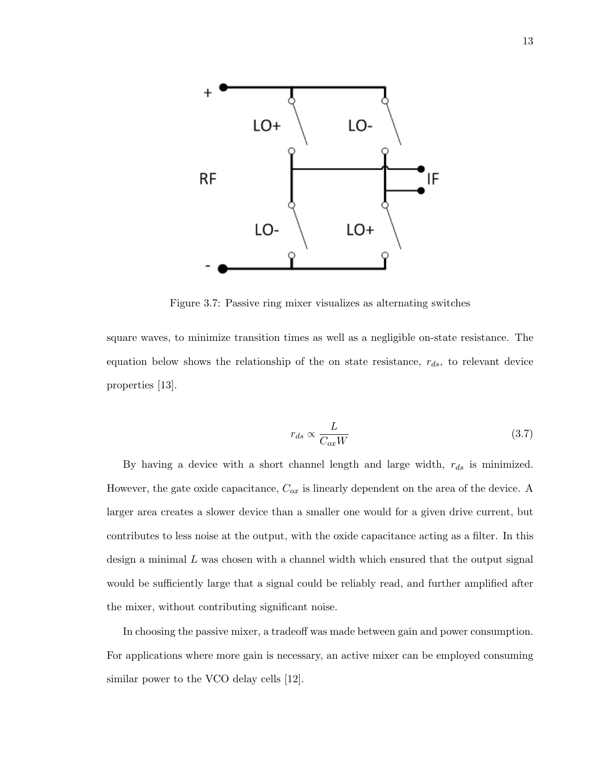

Figure 3.7: Passive ring mixer visualizes as alternating switches

square waves, to minimize transition times as well as a negligible on-state resistance. The equation below shows the relationship of the on state resistance,  $r_{ds}$ , to relevant device properties [13].

$$
r_{ds} \propto \frac{L}{C_{ox}W} \tag{3.7}
$$

By having a device with a short channel length and large width,  $r_{ds}$  is minimized. However, the gate oxide capacitance,  $C_{ox}$  is linearly dependent on the area of the device. A larger area creates a slower device than a smaller one would for a given drive current, but contributes to less noise at the output, with the oxide capacitance acting as a filter. In this design a minimal  $L$  was chosen with a channel width which ensured that the output signal would be sufficiently large that a signal could be reliably read, and further amplified after the mixer, without contributing significant noise.

In choosing the passive mixer, a tradeoff was made between gain and power consumption. For applications where more gain is necessary, an active mixer can be employed consuming similar power to the VCO delay cells [12].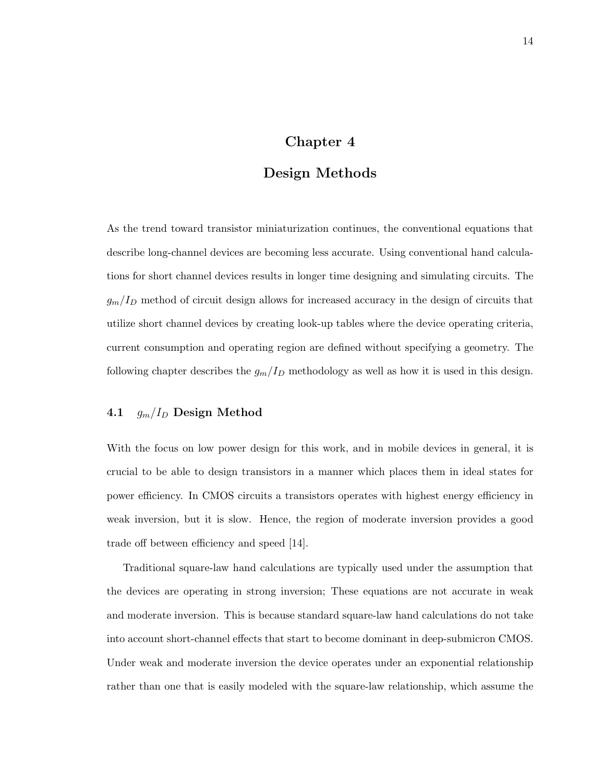## Chapter 4

## Design Methods

As the trend toward transistor miniaturization continues, the conventional equations that describe long-channel devices are becoming less accurate. Using conventional hand calculations for short channel devices results in longer time designing and simulating circuits. The  $g_m/I_D$  method of circuit design allows for increased accuracy in the design of circuits that utilize short channel devices by creating look-up tables where the device operating criteria, current consumption and operating region are defined without specifying a geometry. The following chapter describes the  $g_m/I_D$  methodology as well as how it is used in this design.

#### 4.1  $g_m/I_D$  Design Method

With the focus on low power design for this work, and in mobile devices in general, it is crucial to be able to design transistors in a manner which places them in ideal states for power efficiency. In CMOS circuits a transistors operates with highest energy efficiency in weak inversion, but it is slow. Hence, the region of moderate inversion provides a good trade off between efficiency and speed [14].

Traditional square-law hand calculations are typically used under the assumption that the devices are operating in strong inversion; These equations are not accurate in weak and moderate inversion. This is because standard square-law hand calculations do not take into account short-channel effects that start to become dominant in deep-submicron CMOS. Under weak and moderate inversion the device operates under an exponential relationship rather than one that is easily modeled with the square-law relationship, which assume the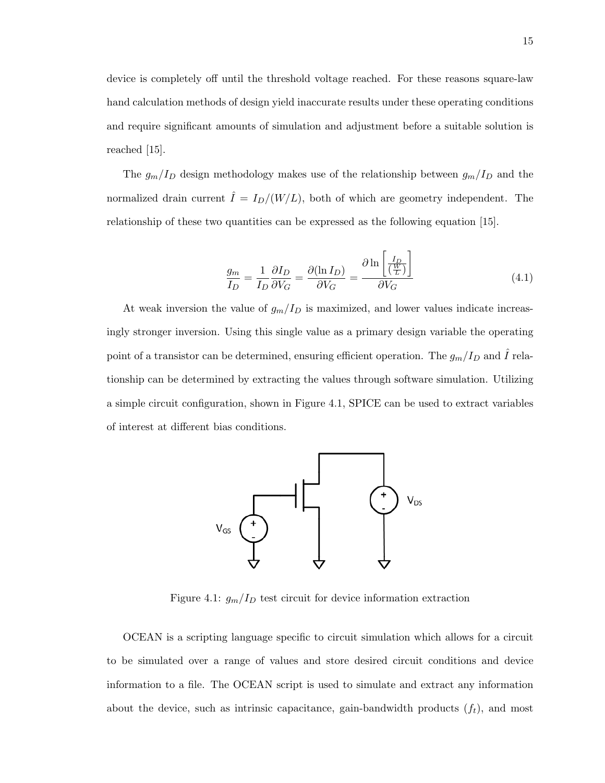device is completely off until the threshold voltage reached. For these reasons square-law hand calculation methods of design yield inaccurate results under these operating conditions and require significant amounts of simulation and adjustment before a suitable solution is reached [15].

The  $g_m/I_D$  design methodology makes use of the relationship between  $g_m/I_D$  and the normalized drain current  $\hat{I} = I_D/(W/L)$ , both of which are geometry independent. The relationship of these two quantities can be expressed as the following equation [15].

$$
\frac{g_m}{I_D} = \frac{1}{I_D} \frac{\partial I_D}{\partial V_G} = \frac{\partial (\ln I_D)}{\partial V_G} = \frac{\partial \ln \left[ \frac{I_D}{\left( \frac{W}{L} \right)} \right]}{\partial V_G} \tag{4.1}
$$

At weak inversion the value of  $g_m/I_D$  is maximized, and lower values indicate increasingly stronger inversion. Using this single value as a primary design variable the operating point of a transistor can be determined, ensuring efficient operation. The  $g_m/I_D$  and  $\hat{I}$  relationship can be determined by extracting the values through software simulation. Utilizing a simple circuit configuration, shown in Figure 4.1, SPICE can be used to extract variables of interest at different bias conditions.



Figure 4.1:  $g_m/I_D$  test circuit for device information extraction

OCEAN is a scripting language specific to circuit simulation which allows for a circuit to be simulated over a range of values and store desired circuit conditions and device information to a file. The OCEAN script is used to simulate and extract any information about the device, such as intrinsic capacitance, gain-bandwidth products  $(f_t)$ , and most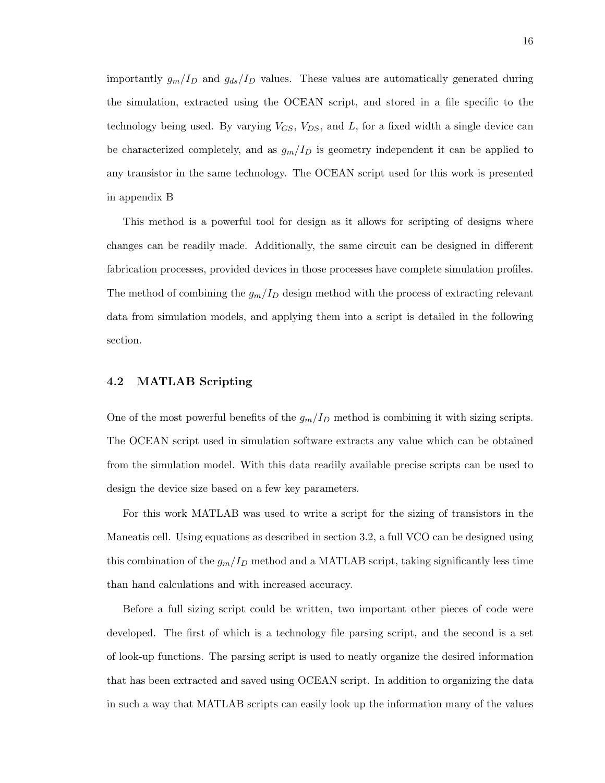importantly  $g_m/I_D$  and  $g_{ds}/I_D$  values. These values are automatically generated during the simulation, extracted using the OCEAN script, and stored in a file specific to the technology being used. By varying  $V_{GS}$ ,  $V_{DS}$ , and L, for a fixed width a single device can be characterized completely, and as  $g_m/I_D$  is geometry independent it can be applied to any transistor in the same technology. The OCEAN script used for this work is presented in appendix B

This method is a powerful tool for design as it allows for scripting of designs where changes can be readily made. Additionally, the same circuit can be designed in different fabrication processes, provided devices in those processes have complete simulation profiles. The method of combining the  $g_m/I_D$  design method with the process of extracting relevant data from simulation models, and applying them into a script is detailed in the following section.

#### 4.2 MATLAB Scripting

One of the most powerful benefits of the  $g_m/I_D$  method is combining it with sizing scripts. The OCEAN script used in simulation software extracts any value which can be obtained from the simulation model. With this data readily available precise scripts can be used to design the device size based on a few key parameters.

For this work MATLAB was used to write a script for the sizing of transistors in the Maneatis cell. Using equations as described in section 3.2, a full VCO can be designed using this combination of the  $g_m/I_D$  method and a MATLAB script, taking significantly less time than hand calculations and with increased accuracy.

Before a full sizing script could be written, two important other pieces of code were developed. The first of which is a technology file parsing script, and the second is a set of look-up functions. The parsing script is used to neatly organize the desired information that has been extracted and saved using OCEAN script. In addition to organizing the data in such a way that MATLAB scripts can easily look up the information many of the values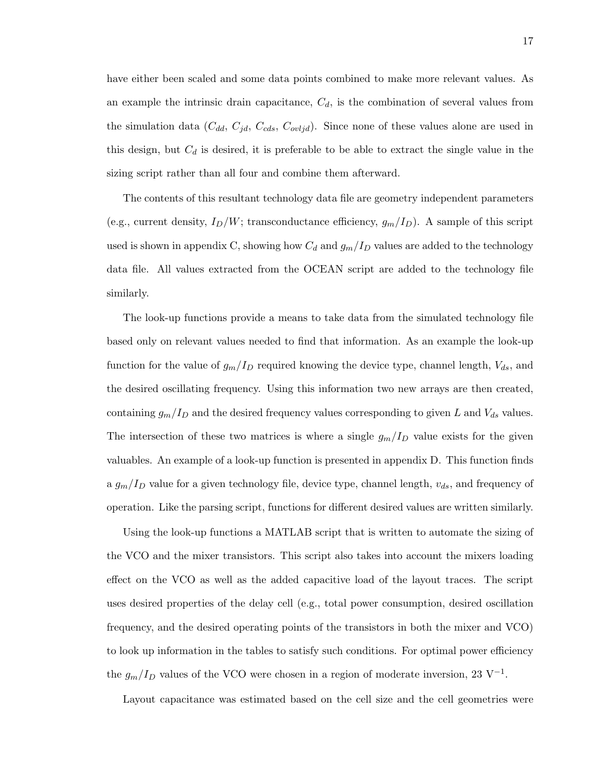have either been scaled and some data points combined to make more relevant values. As an example the intrinsic drain capacitance,  $C_d$ , is the combination of several values from the simulation data  $(C_{dd}, C_{jd}, C_{cds}, C_{ovljd})$ . Since none of these values alone are used in this design, but  $C_d$  is desired, it is preferable to be able to extract the single value in the sizing script rather than all four and combine them afterward.

The contents of this resultant technology data file are geometry independent parameters (e.g., current density,  $I_D/W$ ; transconductance efficiency,  $g_m/I_D$ ). A sample of this script used is shown in appendix C, showing how  $C_d$  and  $g_m/I_D$  values are added to the technology data file. All values extracted from the OCEAN script are added to the technology file similarly.

The look-up functions provide a means to take data from the simulated technology file based only on relevant values needed to find that information. As an example the look-up function for the value of  $g_m/I_D$  required knowing the device type, channel length,  $V_{ds}$ , and the desired oscillating frequency. Using this information two new arrays are then created, containing  $g_m/I_D$  and the desired frequency values corresponding to given L and  $V_{ds}$  values. The intersection of these two matrices is where a single  $g_m/I_D$  value exists for the given valuables. An example of a look-up function is presented in appendix D. This function finds a  $g_m/I_D$  value for a given technology file, device type, channel length,  $v_{ds}$ , and frequency of operation. Like the parsing script, functions for different desired values are written similarly.

Using the look-up functions a MATLAB script that is written to automate the sizing of the VCO and the mixer transistors. This script also takes into account the mixers loading effect on the VCO as well as the added capacitive load of the layout traces. The script uses desired properties of the delay cell (e.g., total power consumption, desired oscillation frequency, and the desired operating points of the transistors in both the mixer and VCO) to look up information in the tables to satisfy such conditions. For optimal power efficiency the  $g_m/I_D$  values of the VCO were chosen in a region of moderate inversion, 23 V<sup>-1</sup>.

Layout capacitance was estimated based on the cell size and the cell geometries were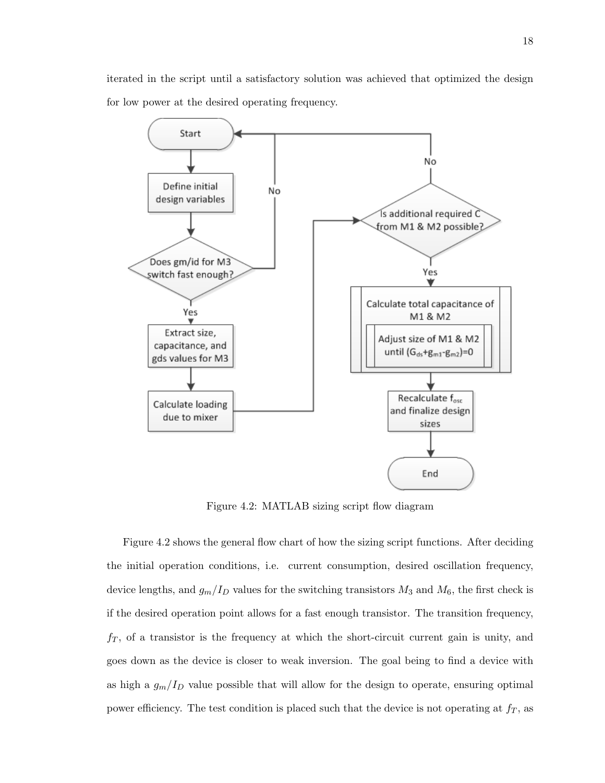iterated in the script until a satisfactory solution was achieved that optimized the design for low power at the desired operating frequency.



Figure 4.2: MATLAB sizing script flow diagram

Figure 4.2 shows the general flow chart of how the sizing script functions. After deciding the initial operation conditions, i.e. current consumption, desired oscillation frequency, device lengths, and  $g_m/I_D$  values for the switching transistors  $M_3$  and  $M_6$ , the first check is if the desired operation point allows for a fast enough transistor. The transition frequency,  $f<sub>T</sub>$ , of a transistor is the frequency at which the short-circuit current gain is unity, and goes down as the device is closer to weak inversion. The goal being to find a device with as high a  $g_m/I_D$  value possible that will allow for the design to operate, ensuring optimal power efficiency. The test condition is placed such that the device is not operating at  $f<sub>T</sub>$ , as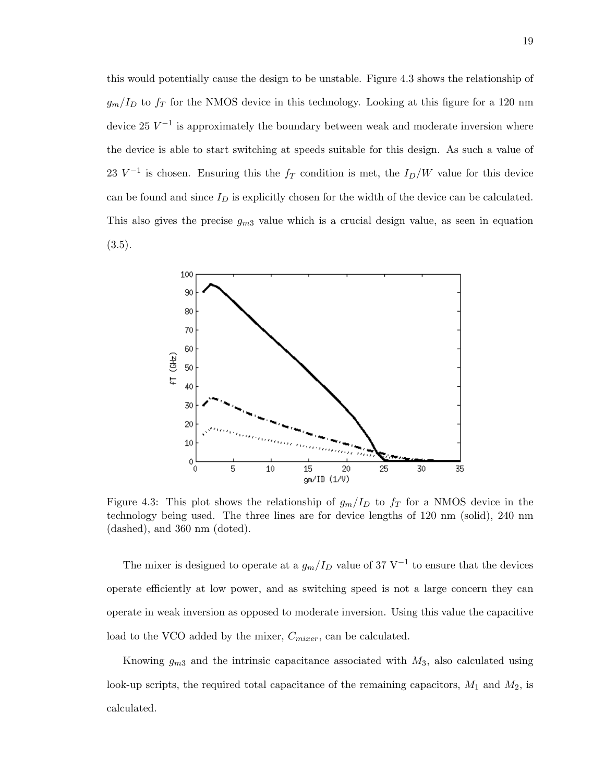this would potentially cause the design to be unstable. Figure 4.3 shows the relationship of  $g_m/I_D$  to  $f_T$  for the NMOS device in this technology. Looking at this figure for a 120 nm device 25  $V^{-1}$  is approximately the boundary between weak and moderate inversion where the device is able to start switching at speeds suitable for this design. As such a value of 23  $V^{-1}$  is chosen. Ensuring this the  $f_T$  condition is met, the  $I_D/W$  value for this device can be found and since  $I_D$  is explicitly chosen for the width of the device can be calculated. This also gives the precise  $g_{m3}$  value which is a crucial design value, as seen in equation  $(3.5).$ 



Figure 4.3: This plot shows the relationship of  $g_m/I_D$  to  $f_T$  for a NMOS device in the technology being used. The three lines are for device lengths of 120 nm (solid), 240 nm (dashed), and 360 nm (doted).

The mixer is designed to operate at a  $g_m/I_D$  value of 37 V<sup>-1</sup> to ensure that the devices operate efficiently at low power, and as switching speed is not a large concern they can operate in weak inversion as opposed to moderate inversion. Using this value the capacitive load to the VCO added by the mixer,  $C_{mixer}$ , can be calculated.

Knowing  $g_{m3}$  and the intrinsic capacitance associated with  $M_3$ , also calculated using look-up scripts, the required total capacitance of the remaining capacitors,  $M_1$  and  $M_2$ , is calculated.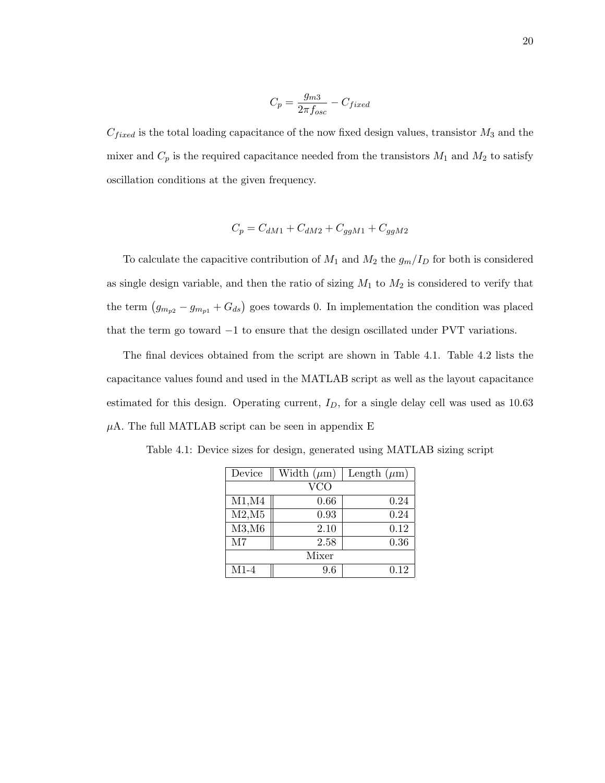$$
C_p = \frac{g_{m3}}{2\pi f_{osc}} - C_{fixed}
$$

 $C_{fixed}$  is the total loading capacitance of the now fixed design values, transistor  $M_3$  and the mixer and  $C_p$  is the required capacitance needed from the transistors  $M_1$  and  $M_2$  to satisfy oscillation conditions at the given frequency.

$$
C_p = C_{dM1} + C_{dM2} + C_{ggM1} + C_{ggM2}
$$

To calculate the capacitive contribution of  $M_1$  and  $M_2$  the  $g_m/I_D$  for both is considered as single design variable, and then the ratio of sizing  $M_1$  to  $M_2$  is considered to verify that the term  $(g_{m_{p2}} - g_{m_{p1}} + G_{ds})$  goes towards 0. In implementation the condition was placed that the term go toward −1 to ensure that the design oscillated under PVT variations.

The final devices obtained from the script are shown in Table 4.1. Table 4.2 lists the capacitance values found and used in the MATLAB script as well as the layout capacitance estimated for this design. Operating current,  $I_D$ , for a single delay cell was used as 10.63  $\mu$ A. The full MATLAB script can be seen in appendix E

| Device     | Width $(\mu m)$ | Length $(\mu m)$ |  |  |  |
|------------|-----------------|------------------|--|--|--|
| <b>VCO</b> |                 |                  |  |  |  |
| M1, M4     | 0.66            | 0.24             |  |  |  |
| M2,M5      | 0.93            | 0.24             |  |  |  |
| M3,M6      | 2.10            | 0.12             |  |  |  |
| M7         | 2.58            | 0.36             |  |  |  |
| Mixer      |                 |                  |  |  |  |
| $M1-4$     | 9.6             | 0.12             |  |  |  |

Table 4.1: Device sizes for design, generated using MATLAB sizing script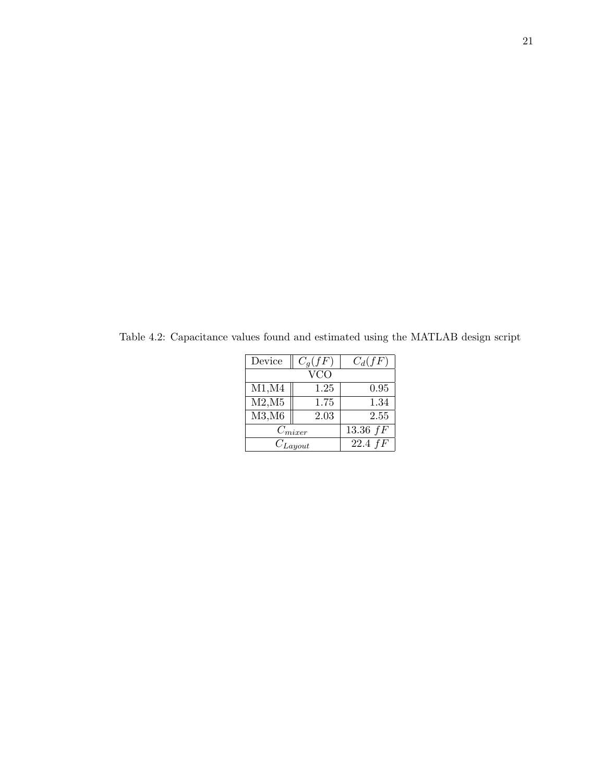| Device       | $C_q(fF)$    | $C_d(fF)$ |  |  |
|--------------|--------------|-----------|--|--|
|              |              |           |  |  |
| M1, M4       | 0.95         |           |  |  |
| M2,M5        | 1.75         |           |  |  |
| M3,M6        | 2.03         | 2.55      |  |  |
| $C_{mixer}$  | $13.36\; fF$ |           |  |  |
| $C_{Layout}$ | $22.4$ $fF$  |           |  |  |

Table 4.2: Capacitance values found and estimated using the MATLAB design script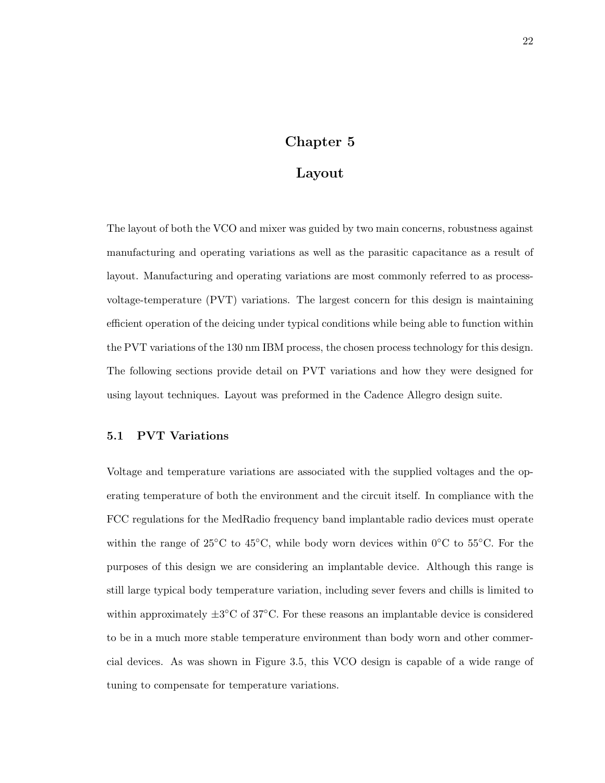## Chapter 5

### Layout

The layout of both the VCO and mixer was guided by two main concerns, robustness against manufacturing and operating variations as well as the parasitic capacitance as a result of layout. Manufacturing and operating variations are most commonly referred to as processvoltage-temperature (PVT) variations. The largest concern for this design is maintaining efficient operation of the deicing under typical conditions while being able to function within the PVT variations of the 130 nm IBM process, the chosen process technology for this design. The following sections provide detail on PVT variations and how they were designed for using layout techniques. Layout was preformed in the Cadence Allegro design suite.

#### 5.1 PVT Variations

Voltage and temperature variations are associated with the supplied voltages and the operating temperature of both the environment and the circuit itself. In compliance with the FCC regulations for the MedRadio frequency band implantable radio devices must operate within the range of 25°C to 45°C, while body worn devices within 0°C to 55°C. For the purposes of this design we are considering an implantable device. Although this range is still large typical body temperature variation, including sever fevers and chills is limited to within approximately  $\pm 3^{\circ}$ C of 37 $^{\circ}$ C. For these reasons an implantable device is considered to be in a much more stable temperature environment than body worn and other commercial devices. As was shown in Figure 3.5, this VCO design is capable of a wide range of tuning to compensate for temperature variations.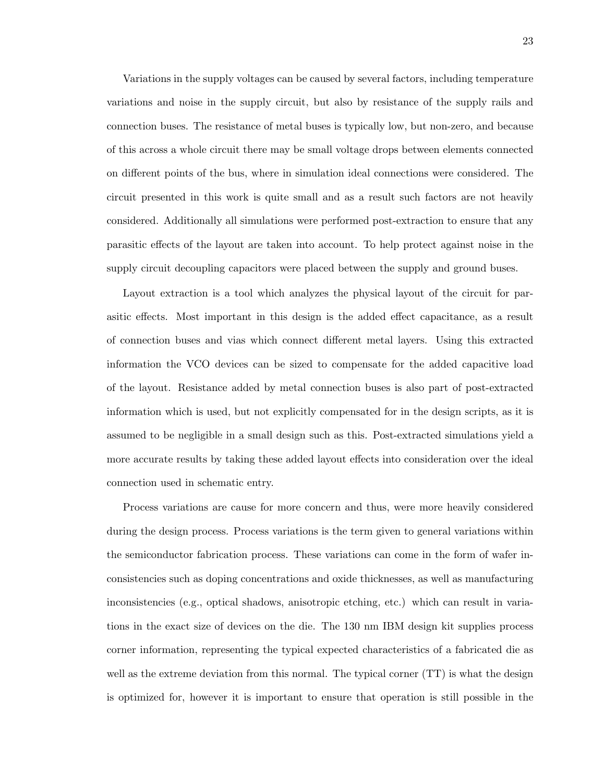Variations in the supply voltages can be caused by several factors, including temperature variations and noise in the supply circuit, but also by resistance of the supply rails and connection buses. The resistance of metal buses is typically low, but non-zero, and because of this across a whole circuit there may be small voltage drops between elements connected on different points of the bus, where in simulation ideal connections were considered. The circuit presented in this work is quite small and as a result such factors are not heavily considered. Additionally all simulations were performed post-extraction to ensure that any parasitic effects of the layout are taken into account. To help protect against noise in the supply circuit decoupling capacitors were placed between the supply and ground buses.

Layout extraction is a tool which analyzes the physical layout of the circuit for parasitic effects. Most important in this design is the added effect capacitance, as a result of connection buses and vias which connect different metal layers. Using this extracted information the VCO devices can be sized to compensate for the added capacitive load of the layout. Resistance added by metal connection buses is also part of post-extracted information which is used, but not explicitly compensated for in the design scripts, as it is assumed to be negligible in a small design such as this. Post-extracted simulations yield a more accurate results by taking these added layout effects into consideration over the ideal connection used in schematic entry.

Process variations are cause for more concern and thus, were more heavily considered during the design process. Process variations is the term given to general variations within the semiconductor fabrication process. These variations can come in the form of wafer inconsistencies such as doping concentrations and oxide thicknesses, as well as manufacturing inconsistencies (e.g., optical shadows, anisotropic etching, etc.) which can result in variations in the exact size of devices on the die. The 130 nm IBM design kit supplies process corner information, representing the typical expected characteristics of a fabricated die as well as the extreme deviation from this normal. The typical corner (TT) is what the design is optimized for, however it is important to ensure that operation is still possible in the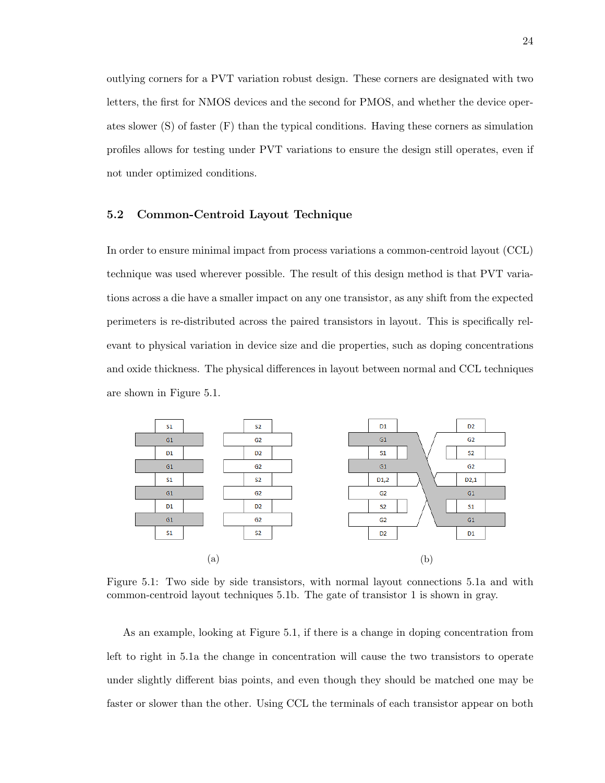outlying corners for a PVT variation robust design. These corners are designated with two letters, the first for NMOS devices and the second for PMOS, and whether the device operates slower (S) of faster (F) than the typical conditions. Having these corners as simulation profiles allows for testing under PVT variations to ensure the design still operates, even if not under optimized conditions.

#### 5.2 Common-Centroid Layout Technique

In order to ensure minimal impact from process variations a common-centroid layout (CCL) technique was used wherever possible. The result of this design method is that PVT variations across a die have a smaller impact on any one transistor, as any shift from the expected perimeters is re-distributed across the paired transistors in layout. This is specifically relevant to physical variation in device size and die properties, such as doping concentrations and oxide thickness. The physical differences in layout between normal and CCL techniques are shown in Figure 5.1.



Figure 5.1: Two side by side transistors, with normal layout connections 5.1a and with common-centroid layout techniques 5.1b. The gate of transistor 1 is shown in gray.

As an example, looking at Figure 5.1, if there is a change in doping concentration from left to right in 5.1a the change in concentration will cause the two transistors to operate under slightly different bias points, and even though they should be matched one may be faster or slower than the other. Using CCL the terminals of each transistor appear on both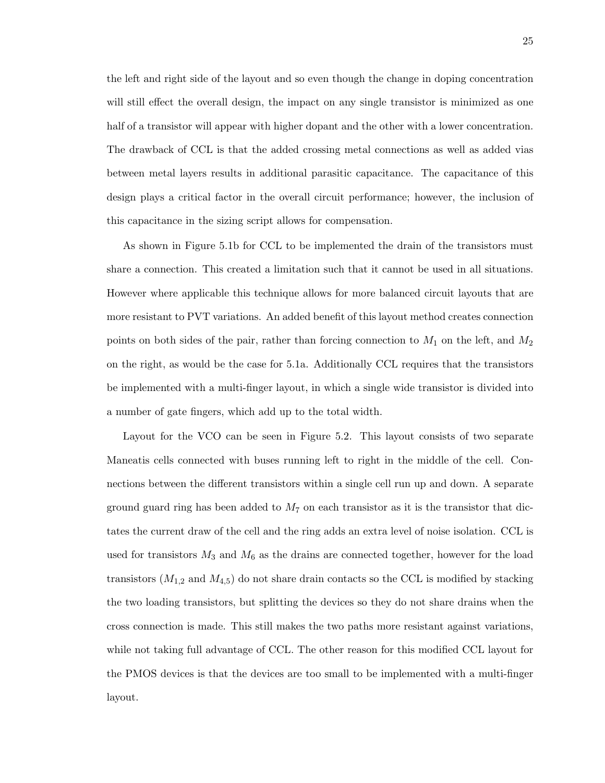the left and right side of the layout and so even though the change in doping concentration will still effect the overall design, the impact on any single transistor is minimized as one half of a transistor will appear with higher dopant and the other with a lower concentration. The drawback of CCL is that the added crossing metal connections as well as added vias between metal layers results in additional parasitic capacitance. The capacitance of this design plays a critical factor in the overall circuit performance; however, the inclusion of this capacitance in the sizing script allows for compensation.

As shown in Figure 5.1b for CCL to be implemented the drain of the transistors must share a connection. This created a limitation such that it cannot be used in all situations. However where applicable this technique allows for more balanced circuit layouts that are more resistant to PVT variations. An added benefit of this layout method creates connection points on both sides of the pair, rather than forcing connection to  $M_1$  on the left, and  $M_2$ on the right, as would be the case for 5.1a. Additionally CCL requires that the transistors be implemented with a multi-finger layout, in which a single wide transistor is divided into a number of gate fingers, which add up to the total width.

Layout for the VCO can be seen in Figure 5.2. This layout consists of two separate Maneatis cells connected with buses running left to right in the middle of the cell. Connections between the different transistors within a single cell run up and down. A separate ground guard ring has been added to  $M_7$  on each transistor as it is the transistor that dictates the current draw of the cell and the ring adds an extra level of noise isolation. CCL is used for transistors  $M_3$  and  $M_6$  as the drains are connected together, however for the load transistors  $(M_{1,2}$  and  $M_{4,5})$  do not share drain contacts so the CCL is modified by stacking the two loading transistors, but splitting the devices so they do not share drains when the cross connection is made. This still makes the two paths more resistant against variations, while not taking full advantage of CCL. The other reason for this modified CCL layout for the PMOS devices is that the devices are too small to be implemented with a multi-finger layout.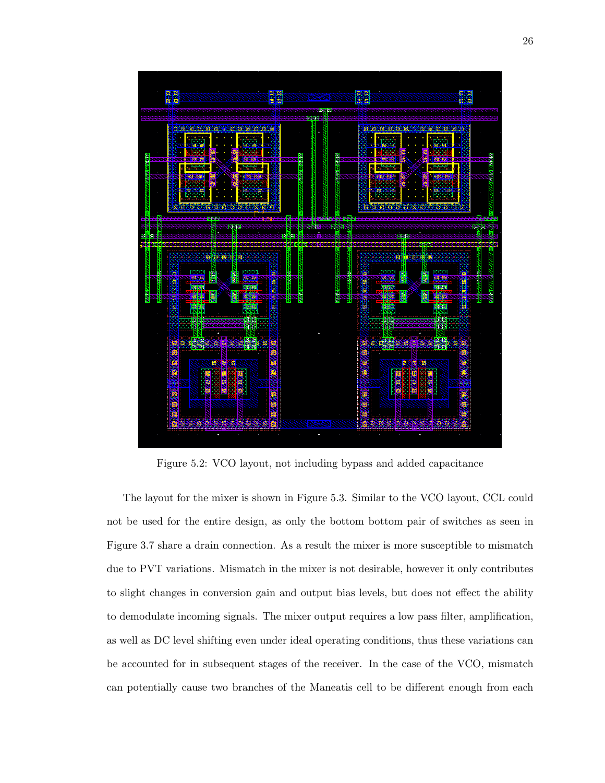

Figure 5.2: VCO layout, not including bypass and added capacitance

The layout for the mixer is shown in Figure 5.3. Similar to the VCO layout, CCL could not be used for the entire design, as only the bottom bottom pair of switches as seen in Figure 3.7 share a drain connection. As a result the mixer is more susceptible to mismatch due to PVT variations. Mismatch in the mixer is not desirable, however it only contributes to slight changes in conversion gain and output bias levels, but does not effect the ability to demodulate incoming signals. The mixer output requires a low pass filter, amplification, as well as DC level shifting even under ideal operating conditions, thus these variations can be accounted for in subsequent stages of the receiver. In the case of the VCO, mismatch can potentially cause two branches of the Maneatis cell to be different enough from each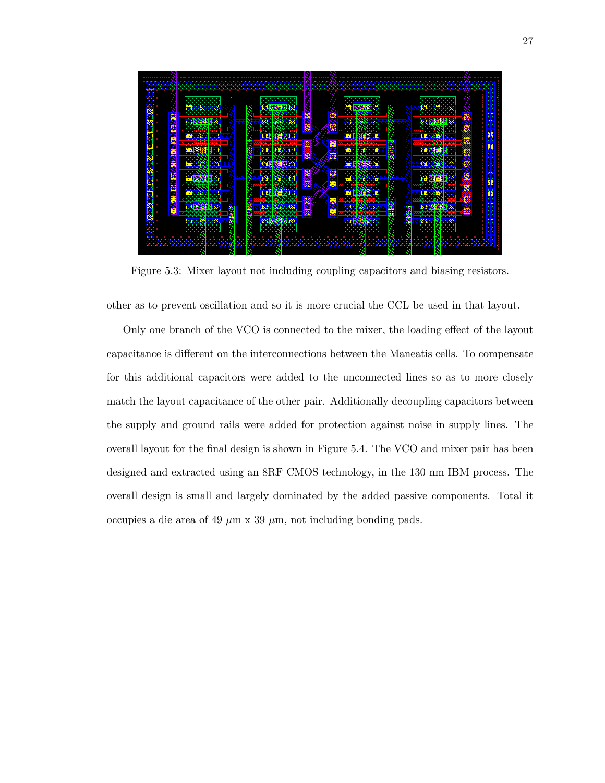

Figure 5.3: Mixer layout not including coupling capacitors and biasing resistors.

other as to prevent oscillation and so it is more crucial the CCL be used in that layout.

Only one branch of the VCO is connected to the mixer, the loading effect of the layout capacitance is different on the interconnections between the Maneatis cells. To compensate for this additional capacitors were added to the unconnected lines so as to more closely match the layout capacitance of the other pair. Additionally decoupling capacitors between the supply and ground rails were added for protection against noise in supply lines. The overall layout for the final design is shown in Figure 5.4. The VCO and mixer pair has been designed and extracted using an 8RF CMOS technology, in the 130 nm IBM process. The overall design is small and largely dominated by the added passive components. Total it occupies a die area of 49  $\mu$ m x 39  $\mu$ m, not including bonding pads.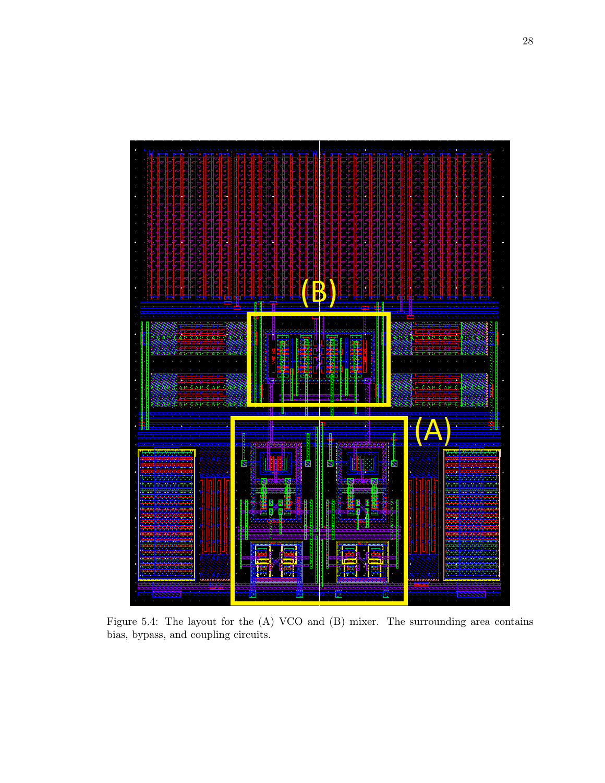

Figure 5.4: The layout for the (A) VCO and (B) mixer. The surrounding area contains bias, bypass, and coupling circuits.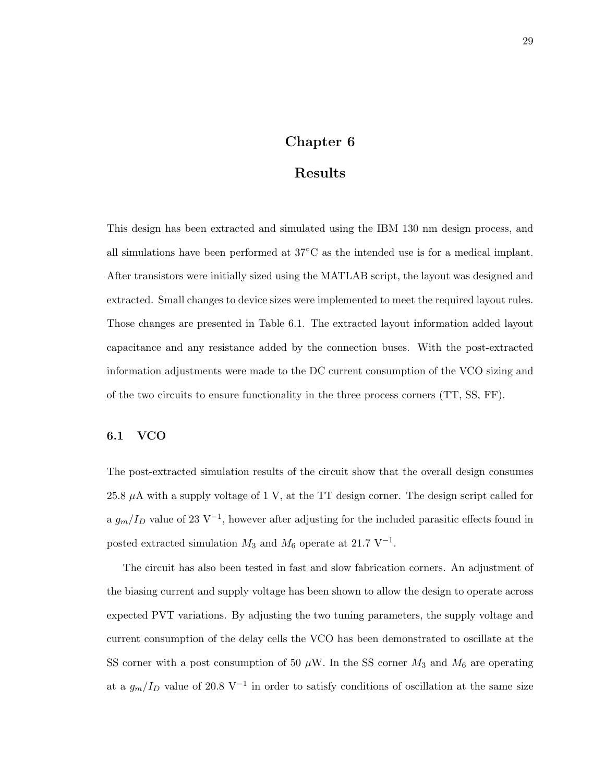## Chapter 6

### Results

This design has been extracted and simulated using the IBM 130 nm design process, and all simulations have been performed at 37◦C as the intended use is for a medical implant. After transistors were initially sized using the MATLAB script, the layout was designed and extracted. Small changes to device sizes were implemented to meet the required layout rules. Those changes are presented in Table 6.1. The extracted layout information added layout capacitance and any resistance added by the connection buses. With the post-extracted information adjustments were made to the DC current consumption of the VCO sizing and of the two circuits to ensure functionality in the three process corners (TT, SS, FF).

#### 6.1 VCO

The post-extracted simulation results of the circuit show that the overall design consumes 25.8  $\mu$ A with a supply voltage of 1 V, at the TT design corner. The design script called for a  $g_m/I_D$  value of 23 V<sup>-1</sup>, however after adjusting for the included parasitic effects found in posted extracted simulation  $M_3$  and  $M_6$  operate at 21.7 V<sup>-1</sup>.

The circuit has also been tested in fast and slow fabrication corners. An adjustment of the biasing current and supply voltage has been shown to allow the design to operate across expected PVT variations. By adjusting the two tuning parameters, the supply voltage and current consumption of the delay cells the VCO has been demonstrated to oscillate at the SS corner with a post consumption of 50  $\mu$ W. In the SS corner  $M_3$  and  $M_6$  are operating at a  $g_m/I_D$  value of 20.8 V<sup>-1</sup> in order to satisfy conditions of oscillation at the same size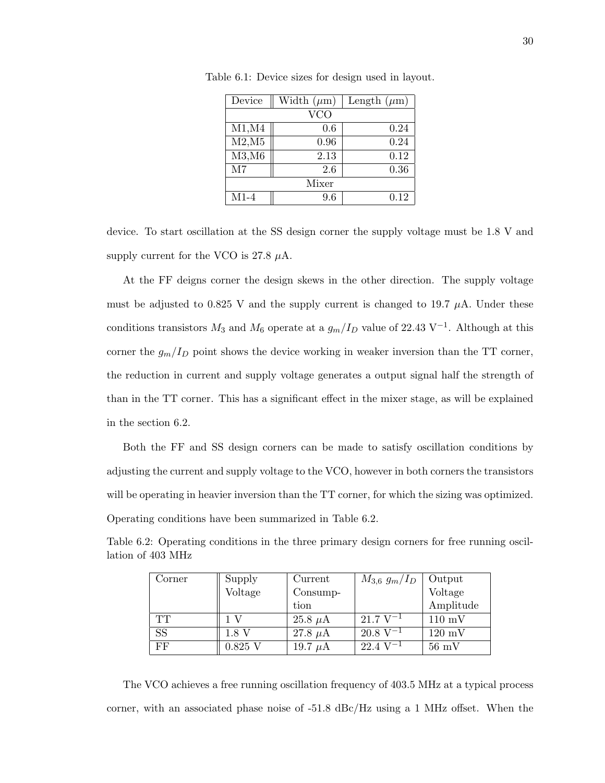| Device | Width $(\mu m)$ | Length $(\mu m)$ |
|--------|-----------------|------------------|
|        | VCO             |                  |
| M1, M4 | 0.6             | 0.24             |
| M2,M5  | 0.96            | 0.24             |
| M3,M6  | 2.13            | 0.12             |
| M7     | 2.6             | 0.36             |
|        | Mixer           |                  |
| $M1-4$ | 9.6             | 0.12             |

Table 6.1: Device sizes for design used in layout.

device. To start oscillation at the SS design corner the supply voltage must be 1.8 V and supply current for the VCO is 27.8  $\mu$ A.

At the FF deigns corner the design skews in the other direction. The supply voltage must be adjusted to 0.825 V and the supply current is changed to 19.7  $\mu$ A. Under these conditions transistors  $M_3$  and  $M_6$  operate at a  $g_m/I_D$  value of 22.43 V<sup>-1</sup>. Although at this corner the  $g_m/I_D$  point shows the device working in weaker inversion than the TT corner, the reduction in current and supply voltage generates a output signal half the strength of than in the TT corner. This has a significant effect in the mixer stage, as will be explained in the section 6.2.

Both the FF and SS design corners can be made to satisfy oscillation conditions by adjusting the current and supply voltage to the VCO, however in both corners the transistors will be operating in heavier inversion than the TT corner, for which the sizing was optimized. Operating conditions have been summarized in Table 6.2.

| Corner    | Supply    | Current      | $M_{3,6} g_m/I_D$        | Output           |
|-----------|-----------|--------------|--------------------------|------------------|
|           | Voltage   | $Consump-$   |                          | Voltage          |
|           |           | tion         |                          | Amplitude        |
| TT        |           | 25.8 $\mu$ A | $21.7 \,\mathrm{V}^{-1}$ | $110 \text{ mV}$ |
| <b>SS</b> | 1.8 V     | 27.8 $\mu$ A | $20.8 V^{-1}$            | $120 \text{ mV}$ |
| FF        | $0.825$ V | 19.7 $\mu$ A | $22.4 V^{-1}$            | $56 \text{ mV}$  |

Table 6.2: Operating conditions in the three primary design corners for free running oscillation of 403 MHz

The VCO achieves a free running oscillation frequency of 403.5 MHz at a typical process corner, with an associated phase noise of -51.8 dBc/Hz using a 1 MHz offset. When the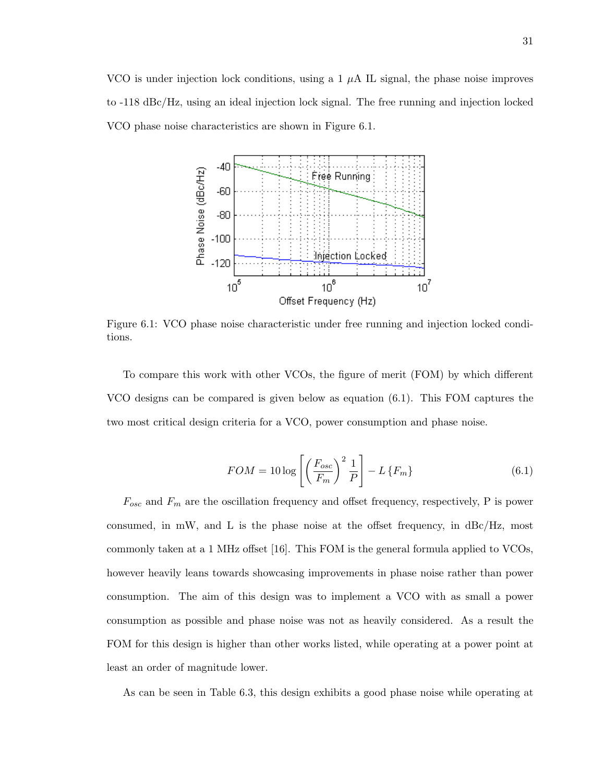VCO is under injection lock conditions, using a 1  $\mu$ A IL signal, the phase noise improves to -118 dBc/Hz, using an ideal injection lock signal. The free running and injection locked VCO phase noise characteristics are shown in Figure 6.1.



Figure 6.1: VCO phase noise characteristic under free running and injection locked conditions.

To compare this work with other VCOs, the figure of merit (FOM) by which different VCO designs can be compared is given below as equation (6.1). This FOM captures the two most critical design criteria for a VCO, power consumption and phase noise.

$$
FOM = 10 \log \left[ \left( \frac{F_{osc}}{F_m} \right)^2 \frac{1}{P} \right] - L \left\{ F_m \right\} \tag{6.1}
$$

 $F_{osc}$  and  $F_m$  are the oscillation frequency and offset frequency, respectively, P is power consumed, in mW, and L is the phase noise at the offset frequency, in  $\text{d}B\text{c}/\text{Hz}$ , most commonly taken at a 1 MHz offset [16]. This FOM is the general formula applied to VCOs, however heavily leans towards showcasing improvements in phase noise rather than power consumption. The aim of this design was to implement a VCO with as small a power consumption as possible and phase noise was not as heavily considered. As a result the FOM for this design is higher than other works listed, while operating at a power point at least an order of magnitude lower.

As can be seen in Table 6.3, this design exhibits a good phase noise while operating at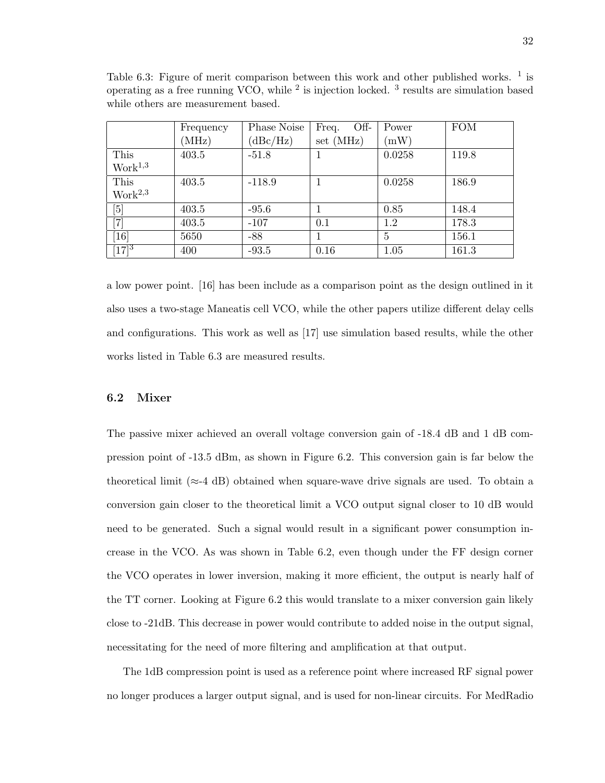|                                                                                                                                                                     | Frequency | Phase Noise | Off-<br>Freq. | Power  | <b>FOM</b> |
|---------------------------------------------------------------------------------------------------------------------------------------------------------------------|-----------|-------------|---------------|--------|------------|
|                                                                                                                                                                     | (MHz)     | (dBc/Hz)    | set(MHz)      | (mW)   |            |
| This                                                                                                                                                                | 403.5     | $-51.8$     |               | 0.0258 | 119.8      |
| Work <sup>1,3</sup>                                                                                                                                                 |           |             |               |        |            |
| This                                                                                                                                                                | 403.5     | $-118.9$    |               | 0.0258 | 186.9      |
| Work <sup>2,3</sup>                                                                                                                                                 |           |             |               |        |            |
| $[5] % \includegraphics[width=1\textwidth]{images/TrDiM-Architecture.png} \caption{The image shows the number of three different ways.} \label{TrDiM-Architecture}$ | 403.5     | $-95.6$     |               | 0.85   | 148.4      |
| $\left[ 7\right]$                                                                                                                                                   | 403.5     | $-107$      | 0.1           | 1.2    | 178.3      |
| [16]                                                                                                                                                                | 5650      | $-88$       |               | 5      | 156.1      |
| $[17]^3$                                                                                                                                                            | 400       | $-93.5$     | 0.16          | 1.05   | 161.3      |

Table 6.3: Figure of merit comparison between this work and other published works.  $<sup>1</sup>$  is</sup> operating as a free running VCO, while  $^2$  is injection locked.  $^3$  results are simulation based while others are measurement based.

a low power point. [16] has been include as a comparison point as the design outlined in it also uses a two-stage Maneatis cell VCO, while the other papers utilize different delay cells and configurations. This work as well as [17] use simulation based results, while the other works listed in Table 6.3 are measured results.

#### 6.2 Mixer

The passive mixer achieved an overall voltage conversion gain of  $-18.4$  dB and 1 dB compression point of -13.5 dBm, as shown in Figure 6.2. This conversion gain is far below the theoretical limit ( $\approx$ -4 dB) obtained when square-wave drive signals are used. To obtain a conversion gain closer to the theoretical limit a VCO output signal closer to 10 dB would need to be generated. Such a signal would result in a significant power consumption increase in the VCO. As was shown in Table 6.2, even though under the FF design corner the VCO operates in lower inversion, making it more efficient, the output is nearly half of the TT corner. Looking at Figure 6.2 this would translate to a mixer conversion gain likely close to -21dB. This decrease in power would contribute to added noise in the output signal, necessitating for the need of more filtering and amplification at that output.

The 1dB compression point is used as a reference point where increased RF signal power no longer produces a larger output signal, and is used for non-linear circuits. For MedRadio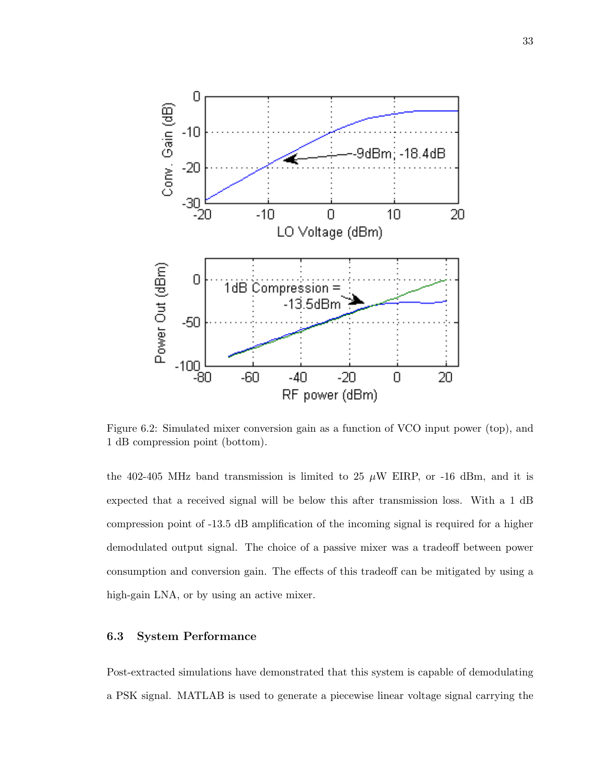

Figure 6.2: Simulated mixer conversion gain as a function of VCO input power (top), and 1 dB compression point (bottom).

the 402-405 MHz band transmission is limited to 25  $\mu$ W EIRP, or -16 dBm, and it is expected that a received signal will be below this after transmission loss. With a 1 dB compression point of -13.5 dB amplification of the incoming signal is required for a higher demodulated output signal. The choice of a passive mixer was a tradeoff between power consumption and conversion gain. The effects of this tradeoff can be mitigated by using a high-gain LNA, or by using an active mixer.

#### 6.3 System Performance

Post-extracted simulations have demonstrated that this system is capable of demodulating a PSK signal. MATLAB is used to generate a piecewise linear voltage signal carrying the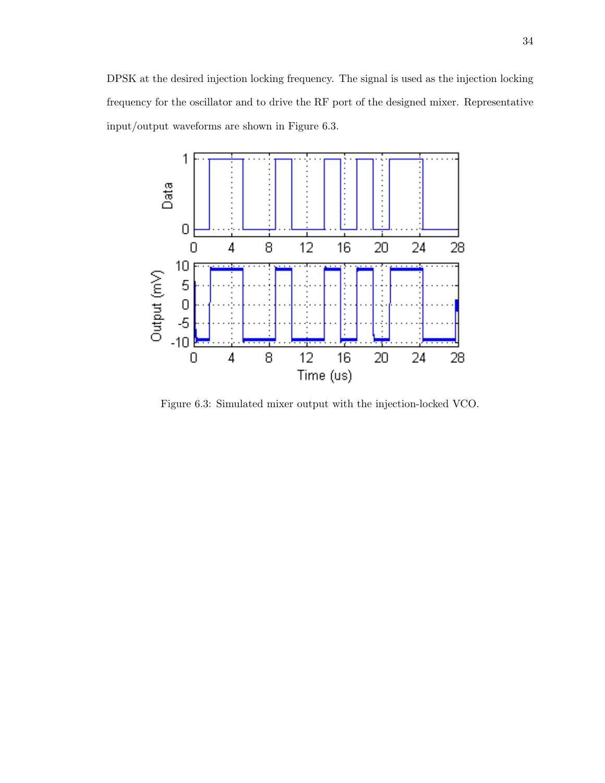DPSK at the desired injection locking frequency. The signal is used as the injection locking frequency for the oscillator and to drive the RF port of the designed mixer. Representative input/output waveforms are shown in Figure 6.3.



Figure 6.3: Simulated mixer output with the injection-locked VCO.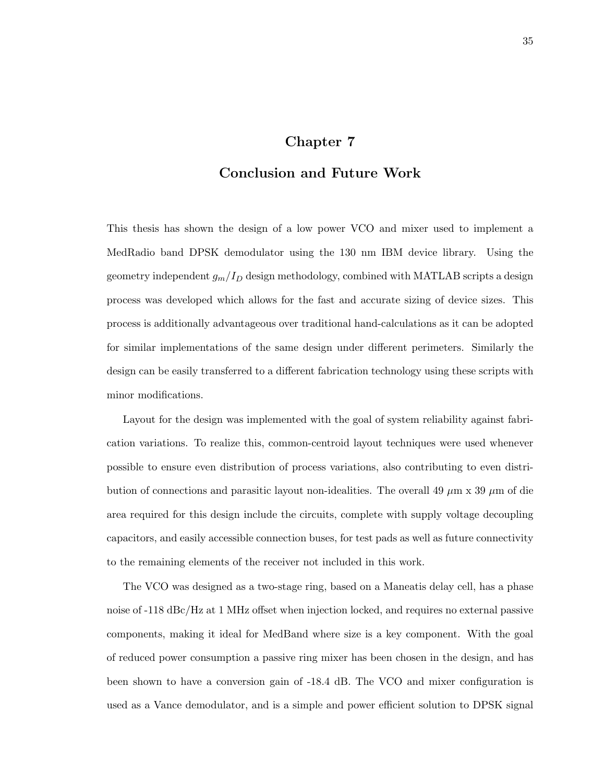## Chapter 7

## Conclusion and Future Work

This thesis has shown the design of a low power VCO and mixer used to implement a MedRadio band DPSK demodulator using the 130 nm IBM device library. Using the geometry independent  $g_m/I_D$  design methodology, combined with MATLAB scripts a design process was developed which allows for the fast and accurate sizing of device sizes. This process is additionally advantageous over traditional hand-calculations as it can be adopted for similar implementations of the same design under different perimeters. Similarly the design can be easily transferred to a different fabrication technology using these scripts with minor modifications.

Layout for the design was implemented with the goal of system reliability against fabrication variations. To realize this, common-centroid layout techniques were used whenever possible to ensure even distribution of process variations, also contributing to even distribution of connections and parasitic layout non-idealities. The overall 49  $\mu$ m x 39  $\mu$ m of die area required for this design include the circuits, complete with supply voltage decoupling capacitors, and easily accessible connection buses, for test pads as well as future connectivity to the remaining elements of the receiver not included in this work.

The VCO was designed as a two-stage ring, based on a Maneatis delay cell, has a phase noise of -118 dBc/Hz at 1 MHz offset when injection locked, and requires no external passive components, making it ideal for MedBand where size is a key component. With the goal of reduced power consumption a passive ring mixer has been chosen in the design, and has been shown to have a conversion gain of -18.4 dB. The VCO and mixer configuration is used as a Vance demodulator, and is a simple and power efficient solution to DPSK signal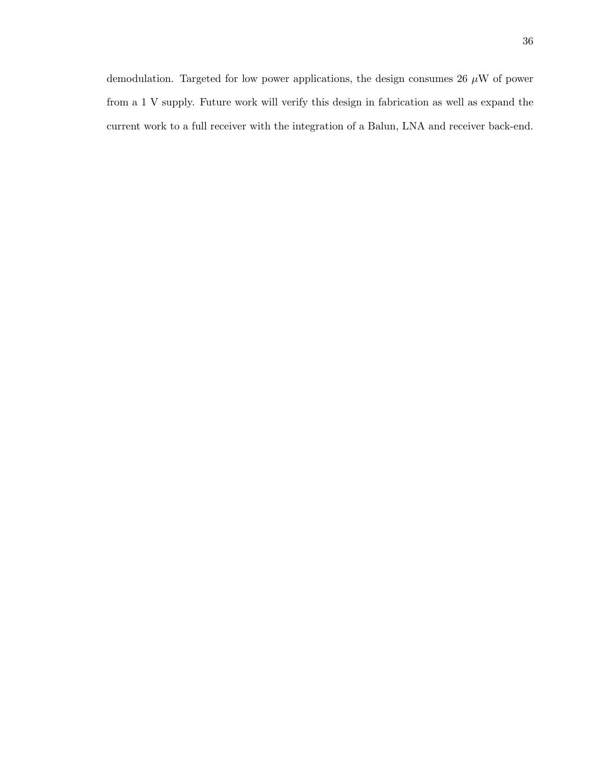demodulation. Targeted for low power applications, the design consumes 26  $\mu\text{W}$  of power from a 1 V supply. Future work will verify this design in fabrication as well as expand the current work to a full receiver with the integration of a Balun, LNA and receiver back-end.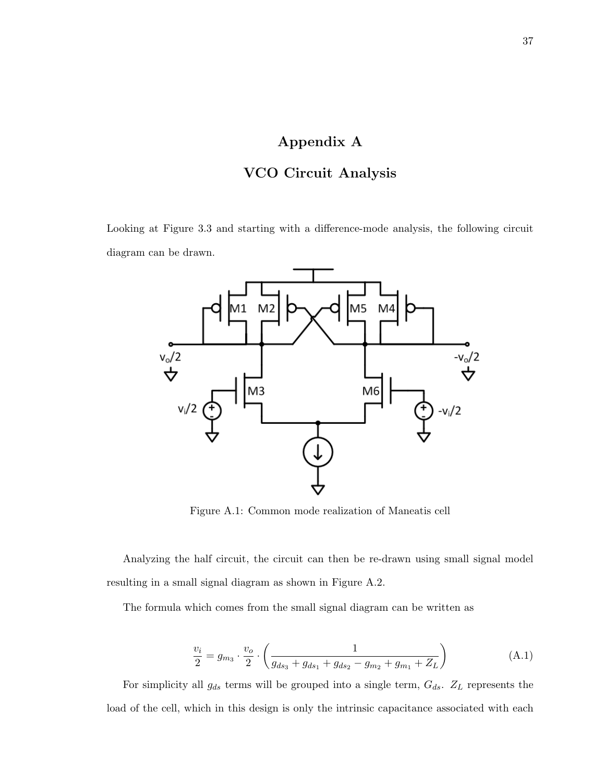# Appendix A

# VCO Circuit Analysis

Looking at Figure 3.3 and starting with a difference-mode analysis, the following circuit diagram can be drawn.



Figure A.1: Common mode realization of Maneatis cell

Analyzing the half circuit, the circuit can then be re-drawn using small signal model resulting in a small signal diagram as shown in Figure A.2.

The formula which comes from the small signal diagram can be written as

$$
\frac{v_i}{2} = g_{m_3} \cdot \frac{v_o}{2} \cdot \left( \frac{1}{g_{ds_3} + g_{ds_1} + g_{ds_2} - g_{m_2} + g_{m_1} + Z_L} \right) \tag{A.1}
$$

For simplicity all  $g_{ds}$  terms will be grouped into a single term,  $G_{ds}$ .  $Z_L$  represents the load of the cell, which in this design is only the intrinsic capacitance associated with each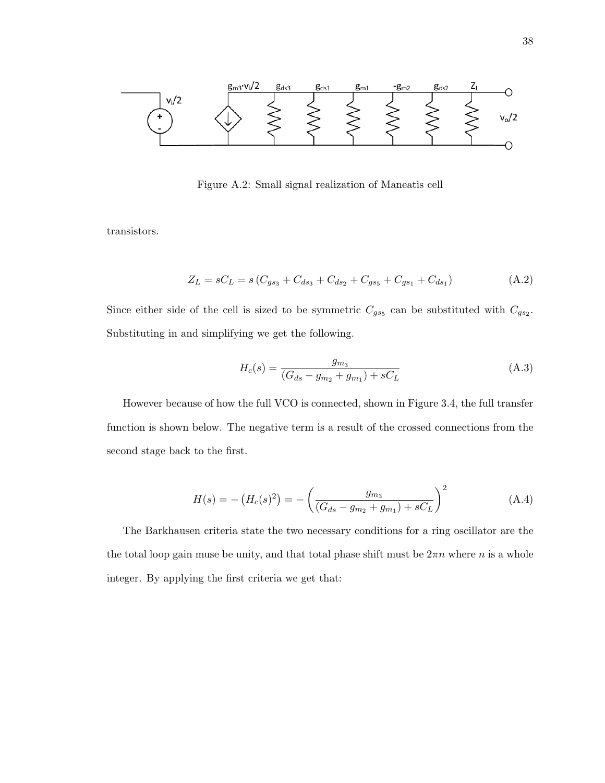

Figure A.2: Small signal realization of Maneatis cell

transistors.

$$
Z_L = sC_L = s(C_{gs_3} + C_{ds_3} + C_{ds_2} + C_{gs_5} + C_{gs_1} + C_{ds_1})
$$
\n(A.2)

Since either side of the cell is sized to be symmetric  $C_{gs5}$  can be substituted with  $C_{gs2}$ . Substituting in and simplifying we get the following.

$$
H_c(s) = \frac{g_{m_3}}{(G_{ds} - g_{m_2} + g_{m_1}) + sC_L}
$$
 (A.3)

However because of how the full VCO is connected, shown in Figure 3.4, the full transfer function is shown below. The negative term is a result of the crossed connections from the second stage back to the first.

$$
H(s) = -\left(H_c(s)^2\right) = -\left(\frac{g_{m_3}}{(G_{ds} - g_{m_2} + g_{m_1}) + sC_L}\right)^2\tag{A.4}
$$

The Barkhausen criteria state the two necessary conditions for a ring oscillator are the the total loop gain muse be unity, and that total phase shift must be  $2\pi n$  where n is a whole integer. By applying the first criteria we get that: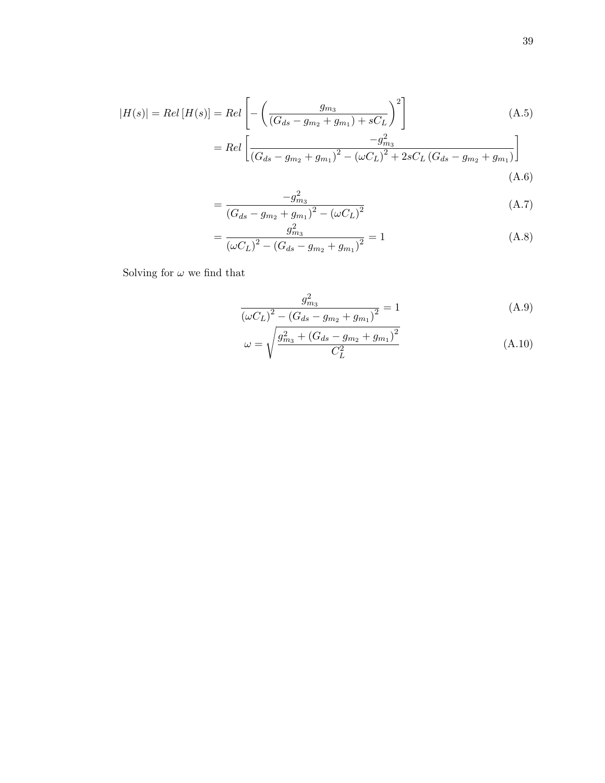$$
|H(s)| = Rel [H(s)] = Rel \left[ - \left( \frac{g_{m_3}}{(G_{ds} - g_{m_2} + g_{m_1}) + sC_L} \right)^2 \right]
$$
(A.5)

$$
= Rel\left[\frac{-g_{m_3}^2}{\left(G_{ds} - g_{m_2} + g_{m_1}\right)^2 - \left(\omega C_L\right)^2 + 2sC_L\left(G_{ds} - g_{m_2} + g_{m_1}\right)}\right]
$$
\n(A.6)

$$
=\frac{-g_{m_3}^2}{\left(G_{ds}-g_{m_2}+g_{m_1}\right)^2-\left(\omega C_L\right)^2}
$$
\n(A.7)

$$
=\frac{g_{m_3}^2}{\left(\omega C_L\right)^2 - \left(G_{ds} - g_{m_2} + g_{m_1}\right)^2} = 1\tag{A.8}
$$

Solving for  $\omega$  we find that

$$
\frac{g_{m_3}^2}{\left(\omega C_L\right)^2 - \left(G_{ds} - g_{m_2} + g_{m_1}\right)^2} = 1\tag{A.9}
$$

$$
\omega = \sqrt{\frac{g_{m_3}^2 + (G_{ds} - g_{m_2} + g_{m_1})^2}{C_L^2}}
$$
(A.10)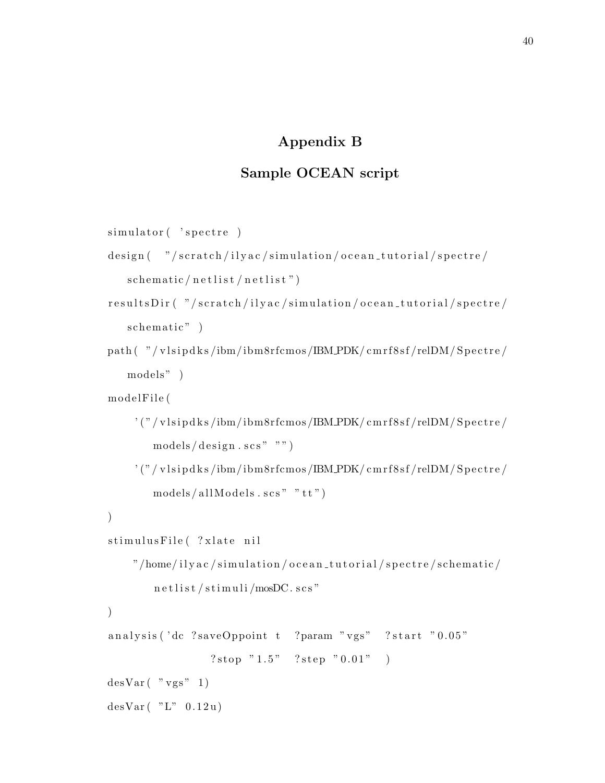# Appendix B

# Sample OCEAN script

```
simulator ( 'spectre )
```

```
design ( "/scratch/ilyac/simulation/ocean_tutorial/spectre/
   sch ematic / n e t l i s t / n e t l i s t ")
```

```
r e sults Dir ( "/scratch/ilyac/simulation/ocean_tutorial/spectre/
   schematic")
```

```
path ( "/vlsipdks/ibm/ibm8rfcmos/IBM_PDK/cmrf8sf/relDM/Spectre/
   models " )
```

```
m o del File (
```

```
' ("/vlsipdks/ibm/ibm8rfcmos/IBM_PDK/cmrf8sf/relDM/Spectre/
   models / design . scs " "")
```
 $'$  ("/vlsipdks/ibm/ibm8rfcmos/IBM\_PDK/cmrf8sf/relDM/Spectre/  $models / all Models \tsc s" "tt")$ 

```
)
```
)

```
stimulusFile (?xlate nil
```

```
"/home/ilyac/simulation/ocean_tutorial/spectre/schematic/
    n e t l i s t / s t i m u l i / mosDC. s c s "
```
analysis ('dc ?saveOppoint t ?param "vgs" ?start "0.05" ? stop  $"1.5"$  ? step  $"0.01"$ )

 $desVar($  "  $vgs" 1)$ 

```
desVar( "L" 0.12u)
```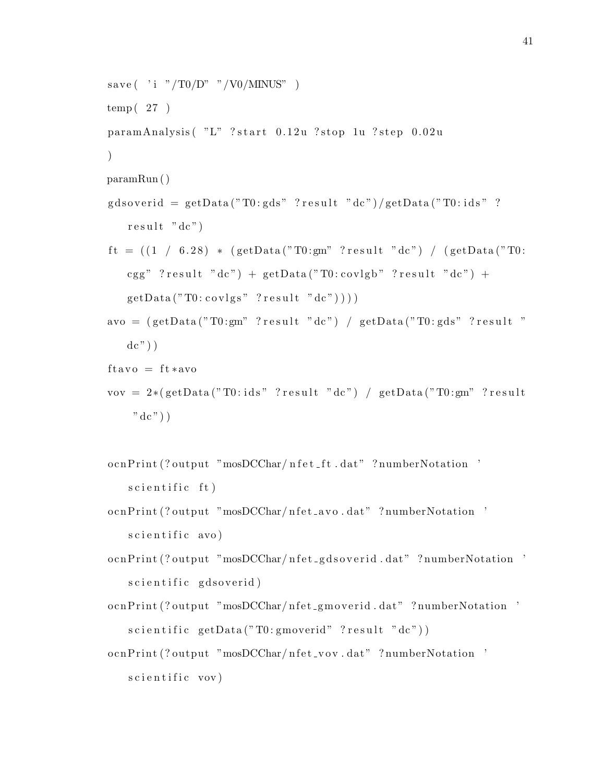```
save (\cdot i \cdot r/T0/D" \cdot r/V0/MINUS')
temp(27)paramAnalysis ( "L" ? start 0.12u ? stop 1u ? step 0.02u
\lambdaparamRun ( )
g d s o v e rid = get D ata ("T0: gds" ? r e s u l t " dc") / get D ata ("T0: i d s" ?
   result "dc")
ft = ((1 / 6.28) * (getData("T0:gm" ?result "dc") / (getData("T0:cgg" ?result "dc" + getData("T0:covlgb" ?result "dc" +
   getData("T0:covlgs" ?result "dc"))))avo = (getData("T0:gm" ?result "dc") / getData("T0:gds" ?result "dc") )ftavo = ft *avovov = 2*(getData("T0:ids" ?result "dc") / getData("T0:gm" ?result
    "dc"))
```

```
o cnPrint (? output "mosDCChar/ n f e t _f t . dat" ? numberNotation '
    s c i e n t i f i c f t )
```
- o cnPrint (? output "mosDCChar/nfet\_avo.dat" ? numberNotation '  $s$  c i e n t i f i c  $a$ vo  $)$
- o cnPrint (? output "mosDCChar/ n fet \_g d s o v erid . dat" ? numberNotation ' scientific gdsoverid)

o cnPrint (? output "mosDCChar/ n f e t \_g m overid . dat" ? numberNotation '  $s$ cientific getData ("T0: gmoverid" ? result "dc"))

o cnPrint (? output "mosDCChar/ nfet\_vov.dat" ? numberNotation ' s c i e n t i f i c vov)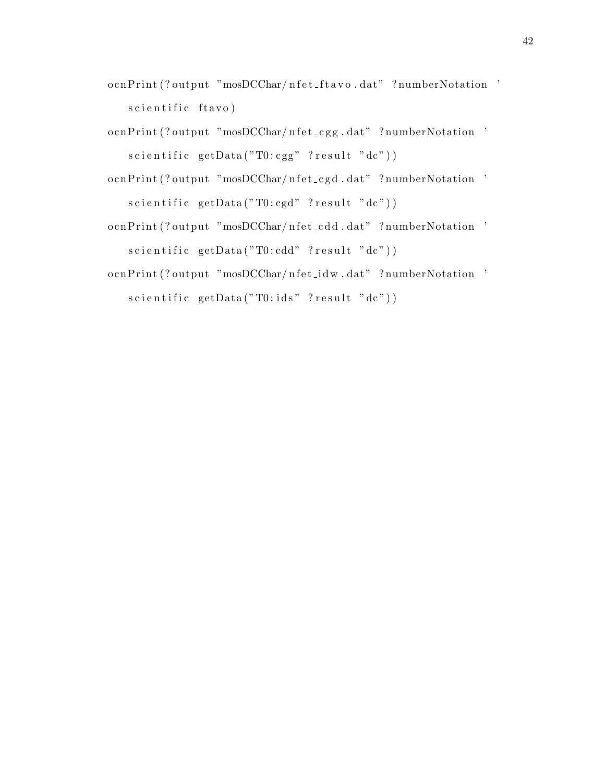- o cnPrint (? output "mosDCChar/ nfet\_ft a vo.dat" ? numberNotation ' s c i e n t i f i c f t a v o )
- o cnPrint (? output "mosDCChar/ nfet\_cgg.dat" ? numberNotation '  $s$  c i e n t i f i c getData ("T $0$ : cgg" ? r e s u l t "dc"))
- o cnPrint (? output "mosDCChar/ nfet\_cgd.dat" ? numberNotation '  $s$  c i e n t i f i c getData ("T0: cgd" ? r e s u l t "dc"))
- o cnPrint (? output "mosDCChar/ nfet\_cdd.dat" ? numberNotation '  $s$  c i e n t i f i c getData ("T0: cdd" ? r e s u l t "dc"))
- o cnPrint (? output "mosDCChar/ nfet\_idw.dat" ? numberNotation '  $s$  c i e n t i f i c getData ("T $0$ : i d s" ? r e s u l t " d c") )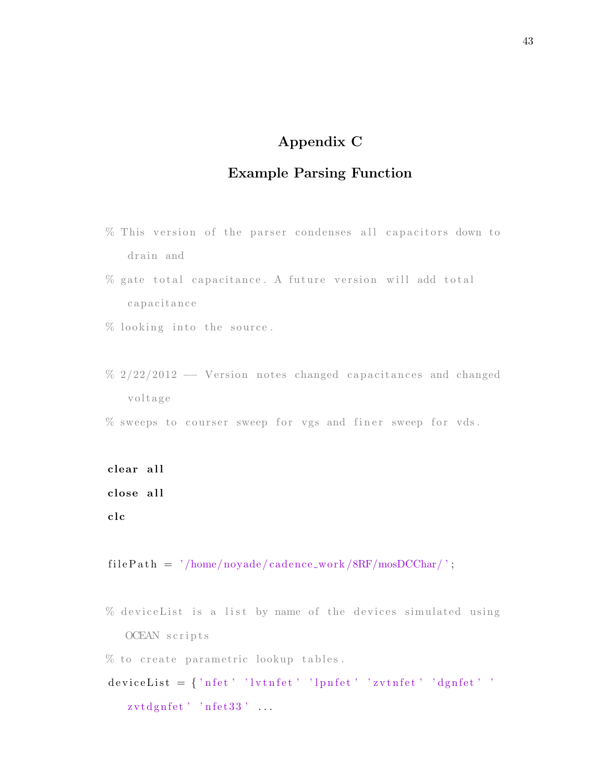# Appendix C

# Example Parsing Function

- % This version of the parser condenses all capacitors down to drain and
- % gate total capacitance. A future version will add total capacitance
- $%$  looking into the source.
- % 2/22/2012 -- Version notes changed capacitances and changed v ol t a g e
- $\%$  sweeps to courser sweep for vgs and finer sweep for vds.

```
clear all
close all
c l c
```
 $filePath = '/home/noyade/cadence_work/8RF/mosDCChar/';$ 

 $%$  deviceList is a list by name of the devices simulated using OCEAN scripts

% to create parametric lookup tables.

```
deviceList = \{\ 'n fet\ ' \ 'lvtnfet\ ' \ 'lpnfet\ ' \ 'zvtnfet\ ' \ 'dgnfet\ ' \ '\zvtdgnfet' ' nfet33' ...
```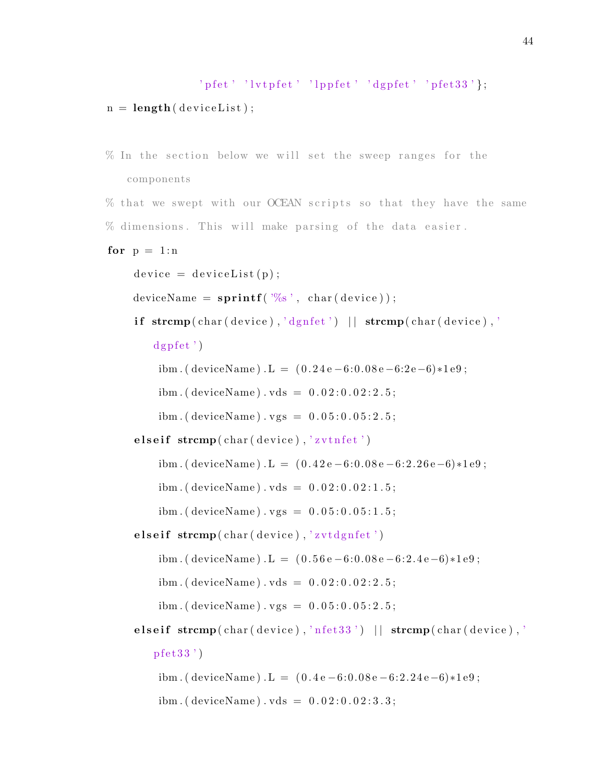```
' p f et ' 'l v t p f e t ' 'l p p f e t ' 'd g p f e t ' 'p f e t 33' };
n = length (deviceList);
```

```
% In the section below we will set the sweep ranges for the
   components
```
% that we swept with our OCEAN scripts so that they have the same  $%$  dimensions. This will make parsing of the data easier.

```
for p = 1:n
```

```
device = deviceList(p);
```
deviceName =  $\text{sprint} f('%s', char(device));$ 

if  $\operatorname{stremp}(\operatorname{char}(\operatorname{device}), \text{'dynfet'}) || \operatorname{stremp}(\operatorname{char}(\operatorname{device}), \text{'}$ 

 $dg$  p f e t ' )

ibm . ( deviceName) . L =  $(0.24e-6:0.08e-6:2e-6)*1e9$ ;

ibm. ( $deviceName$ ).  $vds = 0.02:0.02:2.5$ ;

ibm. ( deviceName ) . vgs =  $0.05:0.05:2.5$ ;

elseif  $stremp(char (device), 'zvtnfet')$ 

ibm . ( deviceName) . L =  $(0.42e-6:0.08e-6:2.26e-6)*1e9$ ;

ibm. ( deviceName ) . vds =  $0.02:0.02:1.5$ ;

 $ibm.$  ( device Name ) . vgs =  $0.05:0.05:1.5$ ;

elseif  $stremp( char(device)$ , 'zvtdgnfet')

ibm . ( deviceName ) . L =  $(0.56e-6:0.08e-6:2.4e-6)*1e9$ ;

ibm. ( deviceName ) . vds =  $0.02:0.02:2.5$ ;

ibm. ( deviceName ) .  $vgs = 0.05:0.05:2.5$ ;

elseif  $stremp(char (charge), 'nfet33')$  ||  $stremp(char (device), '$  $p f e t 3 3')$ 

ibm . ( deviceName ) . L =  $(0.4e-6:0.08e-6:2.24e-6)*1e9$ ;

ibm. ( deviceName ) . vds =  $0.02:0.02:3.3$ ;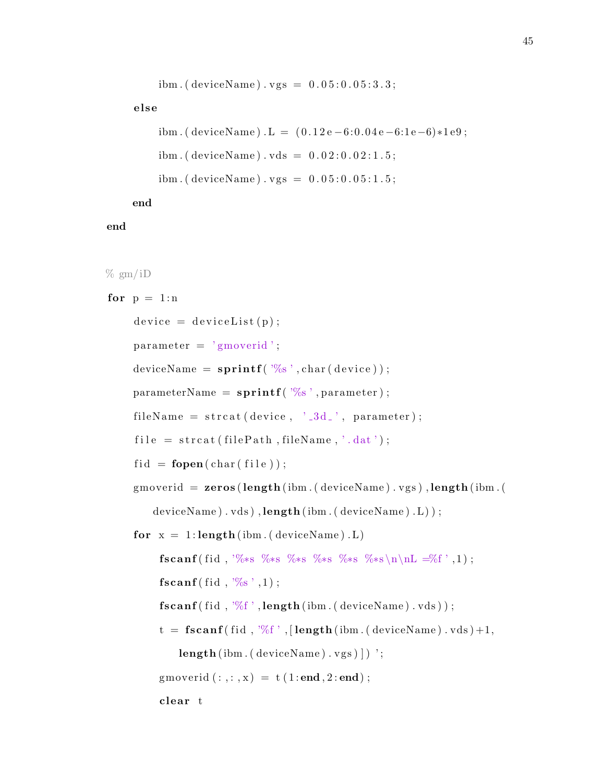```
ibm. ( device Name ) . vgs = 0.05:0.05:3.3;
```
#### else

```
ibm . ( deviceName) . L = (0.12e-6:0.04e-6:1e-6)*1e9;
ibm. ( deviceName ) . vds = 0.02:0.02:1.5;
ibm. ( device Name ) . vgs = 0.05:0.05:1.5;
```
end

#### end

```
% gm/iD
for p = 1:ndevice = deviceList(p);parameter = 'gmoverid';deviceName = \text{sprint} f'(\mathcal{C}_s', \text{char}( \text{ device} ));
     parameterName = sprint f('%s', parameter);fileName = struct(device , ' .3d', parameter);file = struct (filePath, fileName, '.dat');fid = <b>fopen</b>(char(file));gmoverid = \mathbf{zeros} (length (ibm. (deviceName). vgs), length (ibm. (
         deviceName ) . vds ) , length ( ibm . ( deviceName ) . L) ) ;
     for x = 1: length (ibm. (deviceName). L)
           fscanf(fid, '%*s %*s %*s %*s %*s %*s\n\nL =%f', 1);
          {\bf fscan f}(\text{ fid }, \mathcal{C}_s', 1);
          \{f scan f (fid, '%f', length (ibm.(deviceName).vds))\}t = \textbf{fscanf}(\text{fid}, \sqrt[1000]{f}, [\textbf{length}(\text{ibm}.(\text{deviceName}).\text{vds})+1,length(ibm. (deviceName). vgs) ];
          gmoverid (:,:,x) = t (1:end,2:end);c lear t
```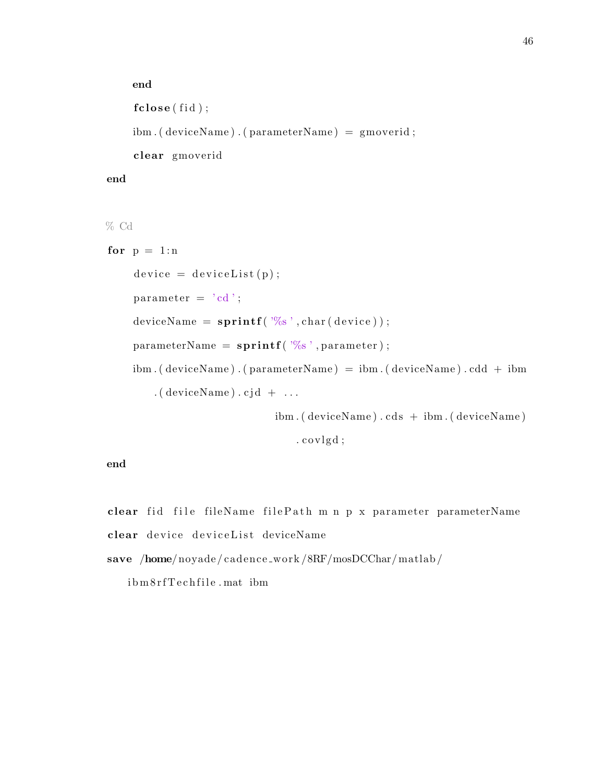```
end
fclose(fid);ibm . ( deviceName ) . ( parameterName ) = gmoverid ;
clear gmoverid
```
#### end

% Cd

```
for p = 1:ndevice = deviceList(p);parameter = 'cd';\text{deviceName} = \text{sprint} f( \sqrt[3]{6} s' , \text{char}( \text{ device} ) );
     parameterName = sprint f('%s', parameter);ibm. ( deviceName ) . ( parameterName ) = ibm. ( deviceName ) . cdd + ibm
         . ( device Name ) . c j d + \dots
```
 $ibm.$  ( device Name )  $cds + ibm.$  ( device Name )

 $.covlg d$ ;

end

clear fid file fileName filePath m n p x parameter parameterName clear device deviceList deviceName

save /home/noyade/cadence\_work/8RF/mosDCChar/matlab/

i bm 8 r f T e c h fil e . mat ibm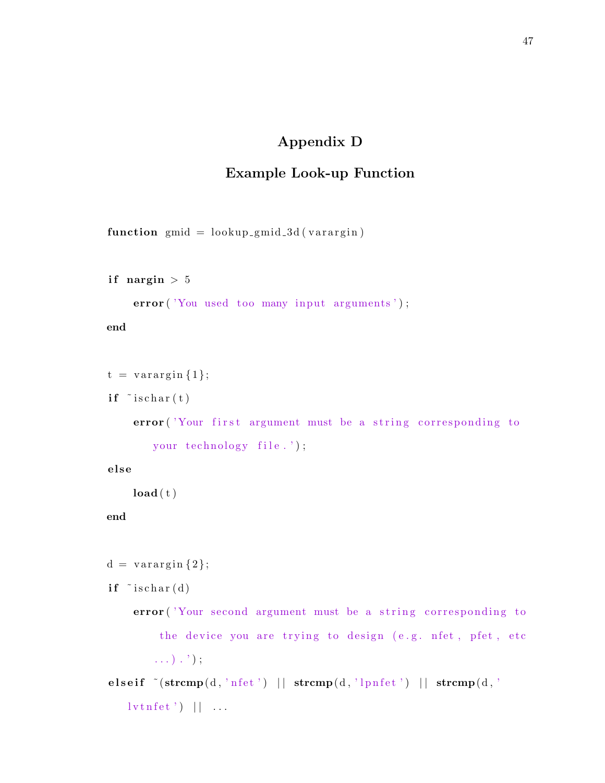# Appendix D

# Example Look-up Function

function  $g mid = lookup\_g mid\_3d (varargin)$ 

```
if nargin > 5
```
error ('You used too many input arguments');

end

```
t = varargin\{1\};
```
 $if$   $\tilde{ }$  ischar $(t)$ 

error ('Your first argument must be a string corresponding to your technology file.');

e l s e

```
\textbf{load}(\mathbf{t})
```
end

```
d = varargin \{2\};
```
 $if$   $\tilde{ }$  ischar $(d)$ 

error ('Your second argument must be a string corresponding to the device you are trying to design (e.g. nfet, pfet, etc  $\ldots$ )  $\ldots$ ) ;

elseif  $\tilde{\text{-(strong(d, 'nfet') || strength(d, 'lpnfet') || strength(d, 'lprfet') || strength(d, 'lprfet') ||}}$  $\lceil \text{vtnfet'} \rceil \rceil \ldots$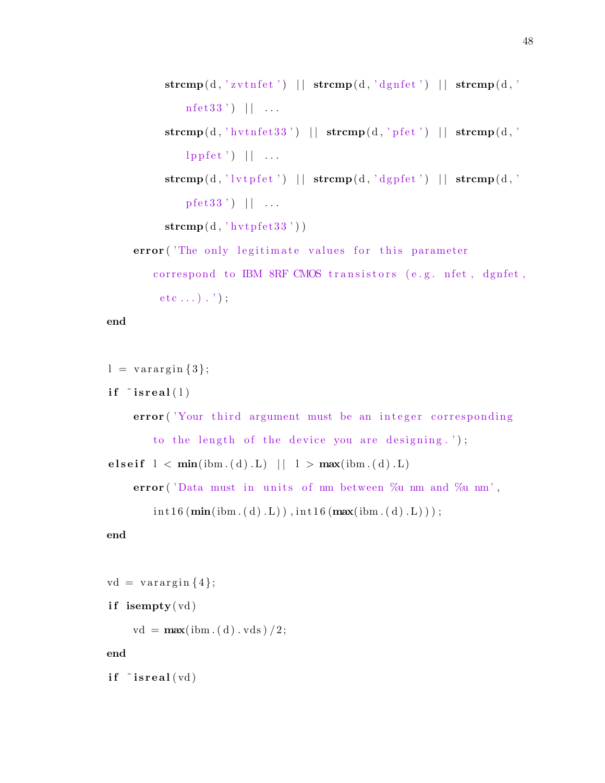```
\textbf{strcmp}(d, 'zvtnfet') || \textbf{strcmp}(d, 'dgnfet') || \textbf{strcmp}(d, '\text{nfet}33') ||...\textbf{strcmp}(d, 'hvtnfet33') || \textbf{strcmp}(d, 'p fet') || \textbf{strcmp}(d, 'lppfet' || ...\textbf{strcmp}(d, 'lvtpfet') || \textbf{strcmp}(d, 'dgpfet') || \textbf{strcmp}(d, 'p \text{ fet } 33') | | ...
      \mathbf{stremp}(\mathbf{d}, \text{'hvtpfet33'}))error ('The only legitimate values for this parameter
    correspond to IBM 8RF CMOS transistors (e.g. nfet, dgnfet,
     etc \dots).');
```
end

```
l = varargin \{3\};
```
if  $\tilde{i}$  is real  $(1)$ 

error ('Your third argument must be an integer corresponding to the length of the device you are designing.'); e l s e i f  $l < min(ibm.(d).L)$   $|l > max(ibm.(d).L)$ 

```
error ('Data must in units of nm between \%u nm and \%u nm',
```

```
\int int 16(min(ibm.(d).L)) , int 16(max(ibm.(d).L)) ;
```
end

```
vd = varargin\{4\};
if isempty(vd)vd = max(ibm.(d).vds)/2;
```
end

if  $\tilde{ }$  isreal  $(\text{vd})$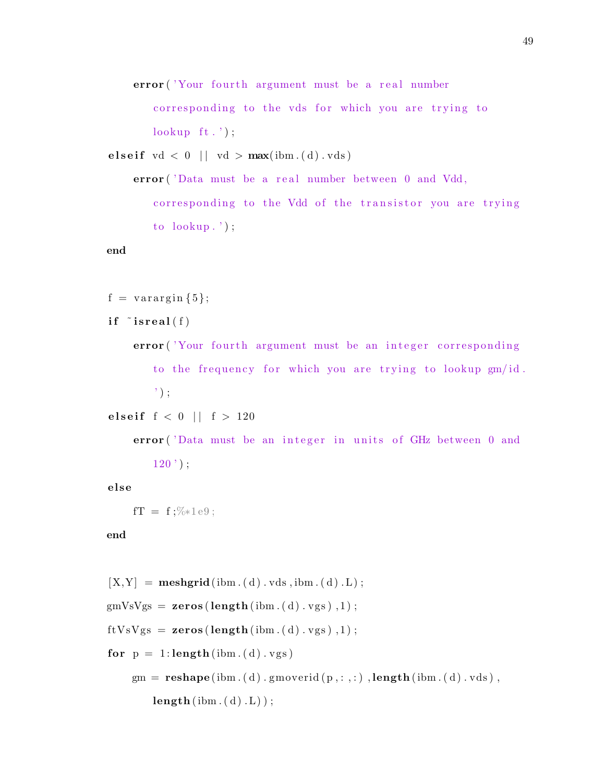error ('Your fourth argument must be a real number

corresponding to the vds for which you are trying to  $\text{lookup } \{t \cdot \cdot \cdot\};$ 

e l seif  $vd < 0$  | |  $vd > max(im...(d).vds)$ 

error ('Data must be a real number between 0 and Vdd, corresponding to the Vdd of the transistor you are trying to  $\text{lookup}$ .');

#### end

```
f = varargin \{5\};
```

```
if \tilde{ } isreal(f)
```
error ('Your fourth argument must be an integer corresponding to the frequency for which you are trying to lookup gm/id.  $\cdot$  ) :

elseif  $f < 0$  |  $f > 120$ 

error ('Data must be an integer in units of GHz between 0 and  $120$  ' );

e l s e

```
fT = f;%∗1e9;
```
end

```
[X, Y] = \text{meshgrid}(\text{ibm.}(d) \cdot \text{vds}, \text{ibm.}(d) \cdot L);g mVsVgs = <b>zeros</b> (length (ibm.(d).vgs), 1);ftVsVgs = zeros(length(ibm.(d).vgs), 1);for p = 1: length (\text{ibm.}(d) \cdot \text{vgs})gm = \text{reshape}(ibm.(d).gmoverid(p, :, :), \text{length}(ibm.(d).vds),length(ibm.(d).L));
```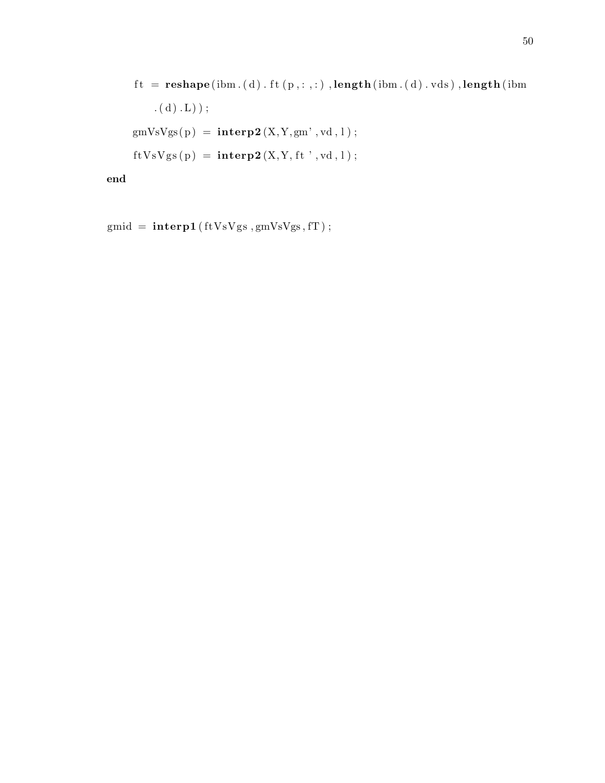```
\emph{ft = reshape}\left( \emph{ibm}. \text{ ( d )}. \emph{ft}\left( \emph{p},:,: \right), \emph{length}\left( \emph{ibm}. \text{ ( d )}. \emph{vds} \right), \emph{length}\left( \emph{ibm-1} \right) \right). (d) . L) ) ;
gmVsVgs(p) = interp2(X, Y, gm', vd, l);ftVsVgs(p) = interp2(X, Y, ft', vd, l);
```
end

```
gmid = interp1(ftVsVgs, gmVsVgs, fT);
```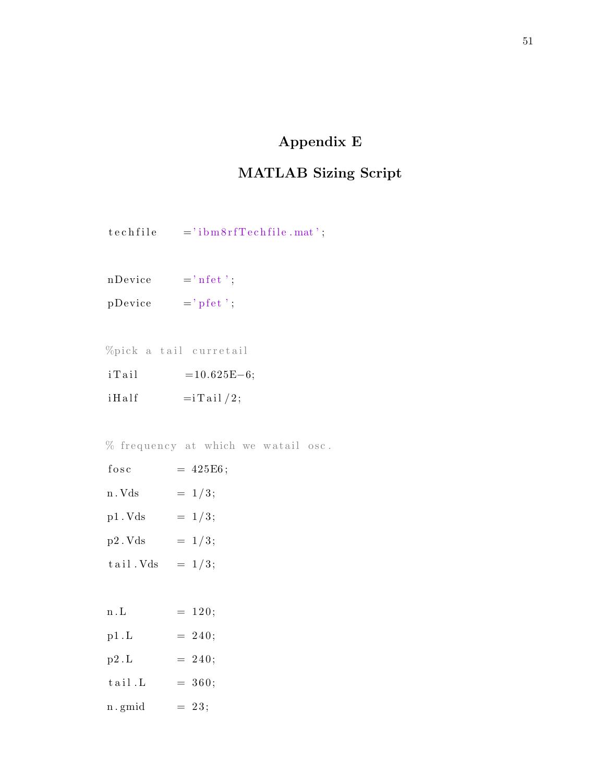# Appendix E

# MATLAB Sizing Script

- $\begin{array}{lll} \texttt{techn8rfTechnile} & \texttt{if} \end{array}$
- $n$ Device  $= 'n f e t';$
- $p$ Device  $=$ '  $p$ fet ';

%pick a tail curretail

i T a i l  $=10.625E-6;$  $i \text{Half}$  =iTail/2;

 $%$  frequency at which we watail osc.

| fosc      | $= 425E6;$ |
|-----------|------------|
| n . Vds   | $= 1/3;$   |
| p1.Vds    | $= 1/3;$   |
| p2. Vds   | $= 1/3;$   |
| tail. Vds | $= 1/3;$   |
|           |            |
| n . L     | $= 120;$   |

| p1.L   | $= 240;$ |
|--------|----------|
| p2.L   | $= 240;$ |
| tail.L | $= 360;$ |
| n.gmid | $= 23;$  |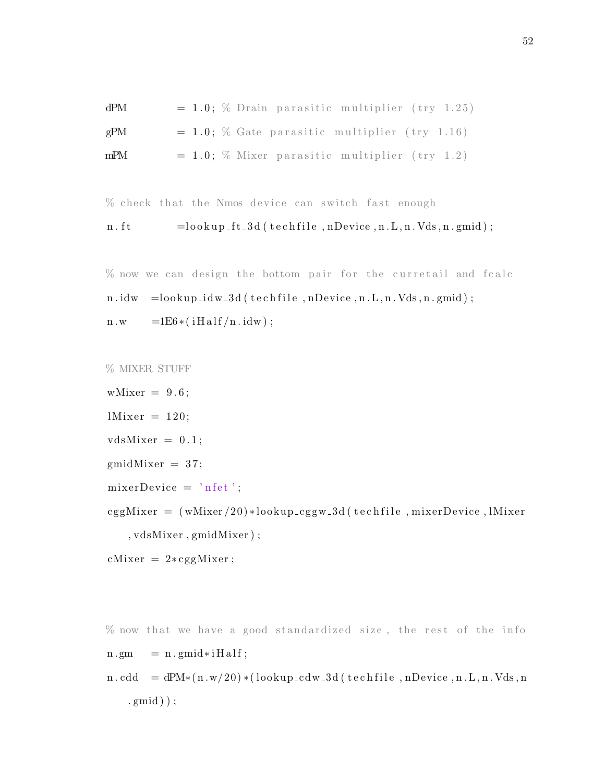| dPM |  |  | $= 1.0$ ; % Drain parasitic multiplier (try 1.25) |  |
|-----|--|--|---------------------------------------------------|--|
| gPM |  |  | $= 1.0$ ; % Gate parasitic multiplier (try 1.16)  |  |
| mPM |  |  | $= 1.0$ ; % Mixer parasitic multiplier (try 1.2)  |  |

 $%$  check that the Nmos device can switch fast enough

```
n. ft =lookup_ft_3d (techfile, nDevice, n.L, n.Vds, n.gmid);
```
 $%$  now we can design the bottom pair for the curretail and fcalc  $n.idw = lookup_idw_3d (technfile, nDevice, n.L, n.Vds, n.gmid);$  $n.w = 1E6*(iHalf/n.idw);$ 

```
% MIXER STUFF
```
wMixer  $= 9.6$ ;  $l$ Mixer = 120;  $vdsMixer = 0.1$ ;  $gmidMixer = 37;$  $mixerDevice = 'n fet';$ cggMixer =  $(wMixer / 20) * lookup_c$ ggw<sub>-3d</sub> (techfile, mixerDevice, lMixer , vdsMixer , gmidMixer ) ;

```
cMixer = 2 * cggMixer;
```
 $%$  now that we have a good standardized size, the rest of the info  $n . gm = n . gmid * i Half ;$  $n. cdd = dPM*(n.w/20) * (lookup_cdw_3d (technfile, nDevice, n.L, n.Vds, n$  $(gmid)$  );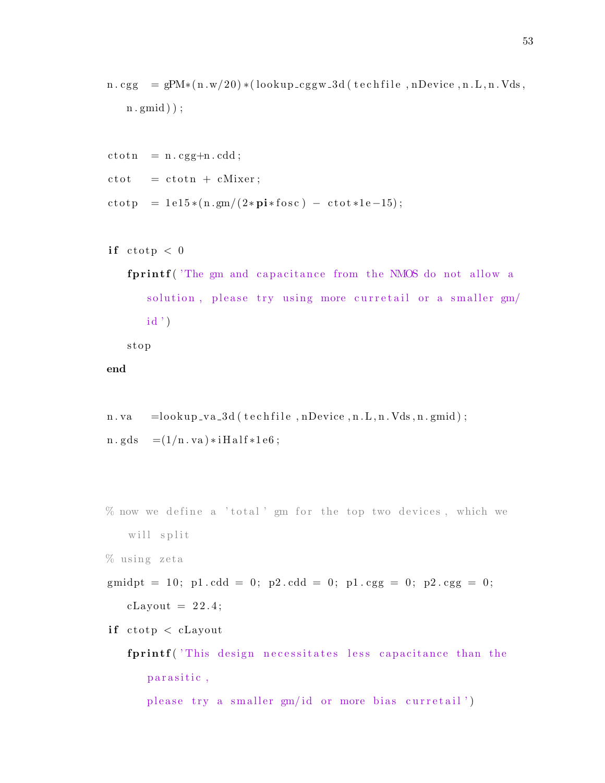```
n \cdot \text{cgg} = \text{gPM} * (n \cdot w/20) * ( \text{lookup} \cdot \text{cggw} \cdot 3d ( \text{technile} , n\text{Device} , n \cdot L , n \cdot V ds ,n. gmid ) ;
```

```
ctot n = n.cgg+n.cdd;\cot = \cot n + cMixer;
ctot p = 1 e15 * (n . gm / (2 * pi * fosc) - ctot * 1 e-15);
```

```
if ctotp < 0
```

```
fprintf ('The gm and capacitance from the NMOS do not allow a
   solution, please try using more curretail or a smaller gm/
  id')
```
s t o p

end

 $n. va = lookup_v a_3 d (technile, nDevice, n.L, n.Vds, n.gmid);$  $n. gds = (1/n. va) * iHalf * 1e6;$ 

```
\% now we define a 'total' gm for the top two devices, which we
   will split
```

```
% using zeta
```

```
gmidpt = 10; p1. cdd = 0; p2. cdd = 0; p1. cgg = 0; p2. cgg = 0;
   cLayout = 22.4;
```

```
if ctotp < cLayout
```

```
fprintf ('This design necessitates less capacitance than the
   parasitic,
```
please try a smaller gm/id or more bias curretail')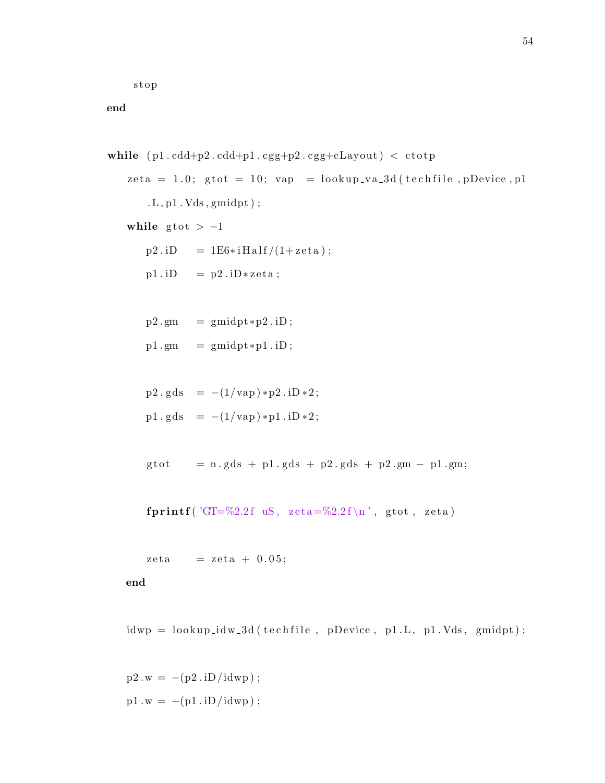s t o p

end

```
while ( p1 c d + p2 c d + p1 c g + p2 c g + cLayout ) < c \tot{otp}zeta = 1.0; gtot = 10; vap = lookup_va_3d (techfile, pDevice, p1
        .L, p1.Vds, gmidpt ;
   while gtot > -1p2.iD = 1E6*ifHalf/(1+zeta);p1. iD = p2. iD*zeta;
       p2 \text{ .gm} = gmidpt *p2 \text{ .} iD;
       p1. gm = gmidpt*p1.iD;p2 \cdot gds = -(1/vap) * p2 \cdot iD * 2;p1. gds = -(1/vap) * p1.iD * 2;g \text{tot} = n \cdot g \text{d}s + p1 \cdot g \text{d}s + p2 \cdot g \text{d}s + p2 \cdot gm - p1 \cdot gm;fprintf ('GT=%2.2f uS, zeta=%2.2f\n', gtot, zeta)
       zeta = zeta + 0.05;
   end
```
 $i dwp = lookup_idw_3 d (technfile, pDevice, p1.L, p1.Vds, gmidpt);$ 

 $p2.w = -(p2.iD/idwp);$  $p1.w = -(p1.iD/idwp);$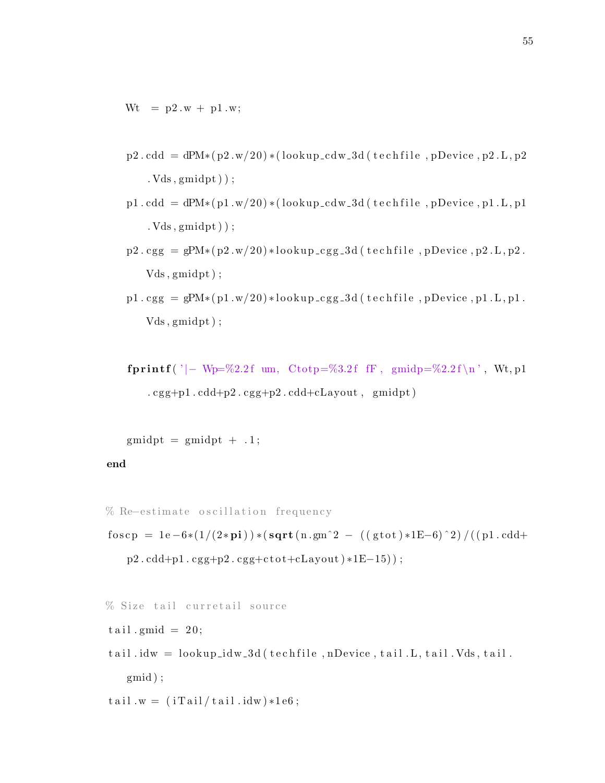$Wt = p2.w + p1.w;$ 

- $p2. \text{cdd} = \text{d}P M * (p2.w/20) * (\text{lookup} \cdot \text{cd} w \cdot 3d (\text{technile}, pD) \cdot \text{e} w \cdot p2 \cdot L, p2$ . Vds , gmidpt ) ) ;
- $p1. cdd = dPM*(p1.w/20)*(lookup_cdw_3d (technile, pDevice, p1.L, p1$  $. Vds$ ,  $gmidpt$ ) ;
- $p2 \text{ .} \text{ cgg} = \text{gPM} * (p2 \text{ .} \text{w}/20) * \text{lookup} \text{ .} \text{cgg} \text{ .} 3 \text{ d}$  (techfile, pDevice, p2.L, p2. Vds , gmidpt ) ;
- $p1 \text{ .cgg} = gPM*(p1 \text{ .w}/20) * lookup \text{ .cgg} -3d (technfile, pDevice, p1 \text{ .L}, p1 \text{ .}$ Vds , gmidpt ) ;
- fprintf ('|- Wp=%2.2f um, Ctotp=%3.2f fF, gmidp=%2.2f \n', Wt, p1  $cgg+p1.cdd+p2.cgg+p2.cdd+cLayout, gmidpt)$

```
g\text{midpt} = g\text{midpt} + .1;
```
#### end

```
% Re–estimate oscillation frequency
```
f o s c p = 1e -6\*(1/(2\*pi)) \* (sqrt (n.gm<sup>2</sup> - ((gtot) \*1E-6)<sup>2</sup>)/((p1.cdd+  $p2.cdd+p1.cgg+p2.cgg+ctot+cLayout) *1E-15$ );

```
% Size tail curretail source
```
- $tail$ . gmid = 20;
- $tail$ . idw = lookup\_idw\_3d (techfile, nDevice, tail.L, tail.Vds, tail. gmid ) ;

 $tail.w = (iTail/tail.idw)*1e6;$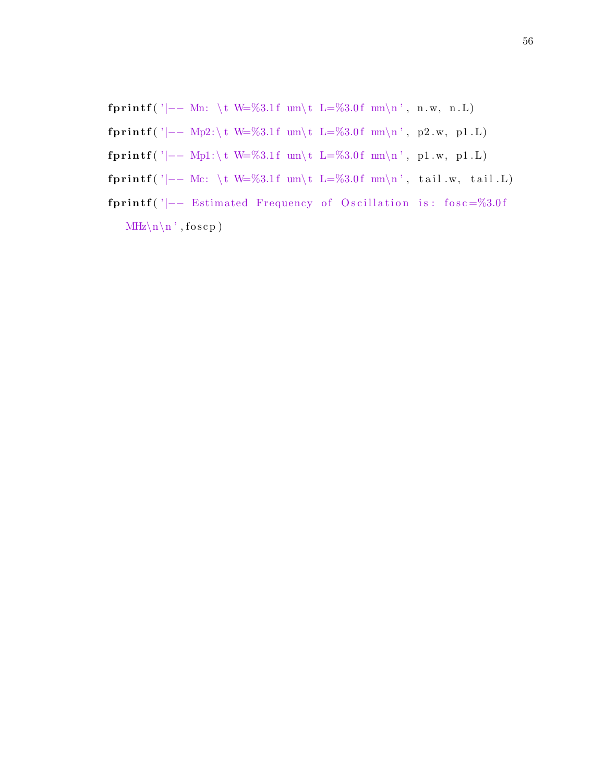fprintf ( '|−− Mn: \t W=%3.1f um\t L=%3.0f nm\n', n.w, n.L) fprintf('|−− Mp2:\t W=%3.1f um\t L=%3.0f nm\n', p2.w, p1.L) fprintf('|−− Mp1:\t W=%3.1f um\t L=%3.0f nm\n', p1.w, p1.L) fprintf ('|−− Mc: \t W=%3.1f um\t L=%3.0f mm\n', tail w, tail .L) fprintf ('|−− Estimated Frequency of Oscillation is: fosc=%3.0f  $MHz\n\ln'$ , foscp)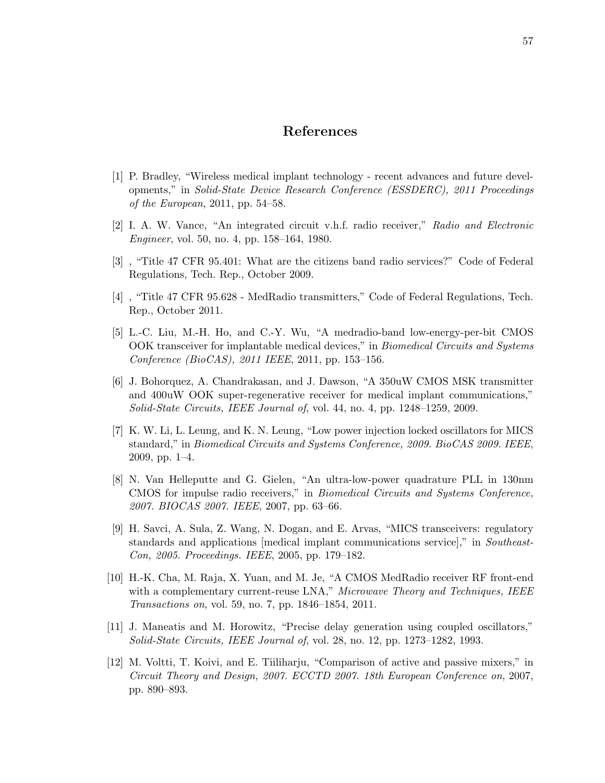## References

- [1] P. Bradley, "Wireless medical implant technology recent advances and future developments," in Solid-State Device Research Conference (ESSDERC), 2011 Proceedings of the European, 2011, pp. 54–58.
- [2] I. A. W. Vance, "An integrated circuit v.h.f. radio receiver," Radio and Electronic Engineer, vol. 50, no. 4, pp. 158–164, 1980.
- [3] , "Title 47 CFR 95.401: What are the citizens band radio services?" Code of Federal Regulations, Tech. Rep., October 2009.
- [4] , "Title 47 CFR 95.628 MedRadio transmitters," Code of Federal Regulations, Tech. Rep., October 2011.
- [5] L.-C. Liu, M.-H. Ho, and C.-Y. Wu, "A medradio-band low-energy-per-bit CMOS OOK transceiver for implantable medical devices," in Biomedical Circuits and Systems Conference (BioCAS), 2011 IEEE, 2011, pp. 153–156.
- [6] J. Bohorquez, A. Chandrakasan, and J. Dawson, "A 350uW CMOS MSK transmitter and 400uW OOK super-regenerative receiver for medical implant communications," Solid-State Circuits, IEEE Journal of, vol. 44, no. 4, pp. 1248–1259, 2009.
- [7] K. W. Li, L. Leung, and K. N. Leung, "Low power injection locked oscillators for MICS standard," in Biomedical Circuits and Systems Conference, 2009. BioCAS 2009. IEEE, 2009, pp. 1–4.
- [8] N. Van Helleputte and G. Gielen, "An ultra-low-power quadrature PLL in 130nm CMOS for impulse radio receivers," in Biomedical Circuits and Systems Conference, 2007. BIOCAS 2007. IEEE, 2007, pp. 63–66.
- [9] H. Savci, A. Sula, Z. Wang, N. Dogan, and E. Arvas, "MICS transceivers: regulatory standards and applications [medical implant communications service]," in Southeast-Con, 2005. Proceedings. IEEE, 2005, pp. 179–182.
- [10] H.-K. Cha, M. Raja, X. Yuan, and M. Je, "A CMOS MedRadio receiver RF front-end with a complementary current-reuse LNA," Microwave Theory and Techniques, IEEE Transactions on, vol. 59, no. 7, pp. 1846–1854, 2011.
- [11] J. Maneatis and M. Horowitz, "Precise delay generation using coupled oscillators," Solid-State Circuits, IEEE Journal of, vol. 28, no. 12, pp. 1273–1282, 1993.
- [12] M. Voltti, T. Koivi, and E. Tiiliharju, "Comparison of active and passive mixers," in Circuit Theory and Design, 2007. ECCTD 2007. 18th European Conference on, 2007, pp. 890–893.